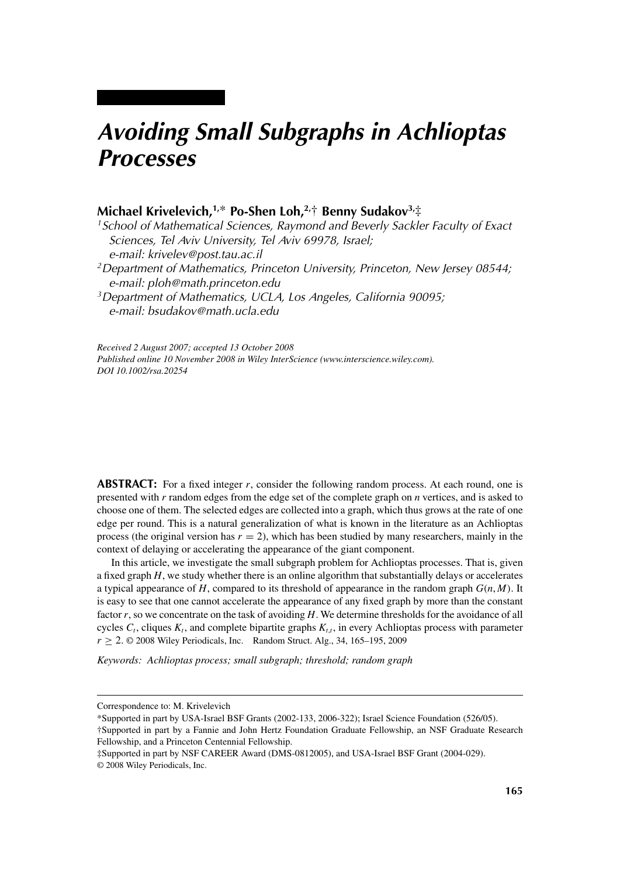# *Avoiding Small Subgraphs in Achlioptas Processes*

# **Michael Krivelevich,1,**\* **Po-Shen Loh,2,**† **Benny Sudakov3,**‡

*1School of Mathematical Sciences, Raymond and Beverly Sackler Faculty of Exact Sciences, Tel Aviv University, Tel Aviv 69978, Israel; e-mail: krivelev@post.tau.ac.il 2Department of Mathematics, Princeton University, Princeton, New Jersey 08544; e-mail: ploh@math.princeton.edu*

*3Department of Mathematics, UCLA, Los Angeles, California 90095; e-mail: bsudakov@math.ucla.edu*

*Received 2 August 2007; accepted 13 October 2008 Published online 10 November 2008 in Wiley InterScience (www.interscience.wiley.com). DOI 10.1002/rsa.20254*

**ABSTRACT:** For a fixed integer r, consider the following random process. At each round, one is presented with *r* random edges from the edge set of the complete graph on *n* vertices, and is asked to choose one of them. The selected edges are collected into a graph, which thus grows at the rate of one edge per round. This is a natural generalization of what is known in the literature as an Achlioptas process (the original version has  $r = 2$ ), which has been studied by many researchers, mainly in the context of delaying or accelerating the appearance of the giant component.

In this article, we investigate the small subgraph problem for Achlioptas processes. That is, given a fixed graph *H*, we study whether there is an online algorithm that substantially delays or accelerates a typical appearance of  $H$ , compared to its threshold of appearance in the random graph  $G(n, M)$ . It is easy to see that one cannot accelerate the appearance of any fixed graph by more than the constant factor*r*, so we concentrate on the task of avoiding *H*. We determine thresholds for the avoidance of all cycles  $C_t$ , cliques  $K_t$ , and complete bipartite graphs  $K_t$ , in every Achlioptas process with parameter  $r \ge 2$ . © 2008 Wiley Periodicals, Inc. Random Struct. Alg., 34, 165–195, 2009

*Keywords: Achlioptas process; small subgraph; threshold; random graph*

Correspondence to: M. Krivelevich

<sup>\*</sup>Supported in part by USA-Israel BSF Grants (2002-133, 2006-322); Israel Science Foundation (526/05).

<sup>†</sup>Supported in part by a Fannie and John Hertz Foundation Graduate Fellowship, an NSF Graduate Research Fellowship, and a Princeton Centennial Fellowship.

<sup>‡</sup>Supported in part by NSF CAREER Award (DMS-0812005), and USA-Israel BSF Grant (2004-029). © 2008 Wiley Periodicals, Inc.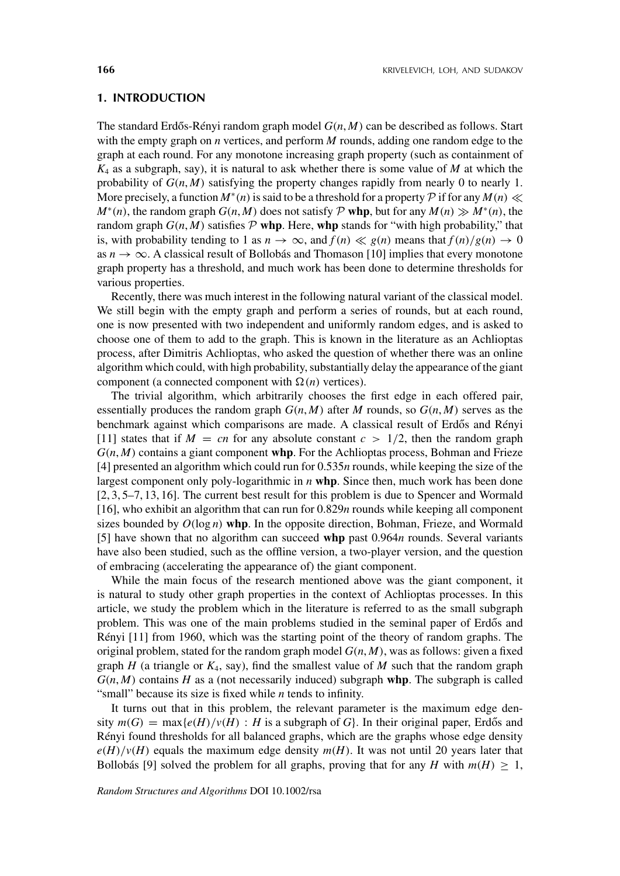## **1. INTRODUCTION**

The standard Erdős-Rényi random graph model  $G(n, M)$  can be described as follows. Start with the empty graph on *n* vertices, and perform *M* rounds, adding one random edge to the graph at each round. For any monotone increasing graph property (such as containment of  $K_4$  as a subgraph, say), it is natural to ask whether there is some value of *M* at which the probability of *G(n*, *M)* satisfying the property changes rapidly from nearly 0 to nearly 1. More precisely, a function  $M^*(n)$  is said to be a threshold for a property P if for any  $M(n) \ll 1$  $M^*(n)$ , the random graph  $G(n, M)$  does not satisfy  $P$  whp, but for any  $M(n) \gg M^*(n)$ , the random graph  $G(n, M)$  satisfies P whp. Here, whp stands for "with high probability," that is, with probability tending to 1 as  $n \to \infty$ , and  $f(n) \ll g(n)$  means that  $f(n)/g(n) \to 0$ as  $n \to \infty$ . A classical result of Bollobás and Thomason [10] implies that every monotone graph property has a threshold, and much work has been done to determine thresholds for various properties.

Recently, there was much interest in the following natural variant of the classical model. We still begin with the empty graph and perform a series of rounds, but at each round, one is now presented with two independent and uniformly random edges, and is asked to choose one of them to add to the graph. This is known in the literature as an Achlioptas process, after Dimitris Achlioptas, who asked the question of whether there was an online algorithm which could, with high probability, substantially delay the appearance of the giant component (a connected component with  $\Omega(n)$  vertices).

The trivial algorithm, which arbitrarily chooses the first edge in each offered pair, essentially produces the random graph  $G(n, M)$  after *M* rounds, so  $G(n, M)$  serves as the benchmark against which comparisons are made. A classical result of Erdős and Rényi [11] states that if  $M = cn$  for any absolute constant  $c > 1/2$ , then the random graph *G(n*, *M)* contains a giant component **whp**. For the Achlioptas process, Bohman and Frieze [4] presented an algorithm which could run for 0.535*n* rounds, while keeping the size of the largest component only poly-logarithmic in *n* **whp**. Since then, much work has been done [2, 3, 5–7, 13, 16]. The current best result for this problem is due to Spencer and Wormald [16], who exhibit an algorithm that can run for 0.829*n* rounds while keeping all component sizes bounded by  $O(\log n)$  whp. In the opposite direction, Bohman, Frieze, and Wormald [5] have shown that no algorithm can succeed **whp** past 0.964*n* rounds. Several variants have also been studied, such as the offline version, a two-player version, and the question of embracing (accelerating the appearance of) the giant component.

While the main focus of the research mentioned above was the giant component, it is natural to study other graph properties in the context of Achlioptas processes. In this article, we study the problem which in the literature is referred to as the small subgraph problem. This was one of the main problems studied in the seminal paper of Erdős and Rényi [11] from 1960, which was the starting point of the theory of random graphs. The original problem, stated for the random graph model  $G(n, M)$ , was as follows: given a fixed graph  $H$  (a triangle or  $K_4$ , say), find the smallest value of  $M$  such that the random graph  $G(n, M)$  contains *H* as a (not necessarily induced) subgraph whp. The subgraph is called "small" because its size is fixed while *n* tends to infinity.

It turns out that in this problem, the relevant parameter is the maximum edge density  $m(G) = \max\{e(H)/v(H): H$  is a subgraph of *G*. In their original paper, Erdős and Rényi found thresholds for all balanced graphs, which are the graphs whose edge density  $e(H)/v(H)$  equals the maximum edge density  $m(H)$ . It was not until 20 years later that Bollobás [9] solved the problem for all graphs, proving that for any *H* with  $m(H) \geq 1$ ,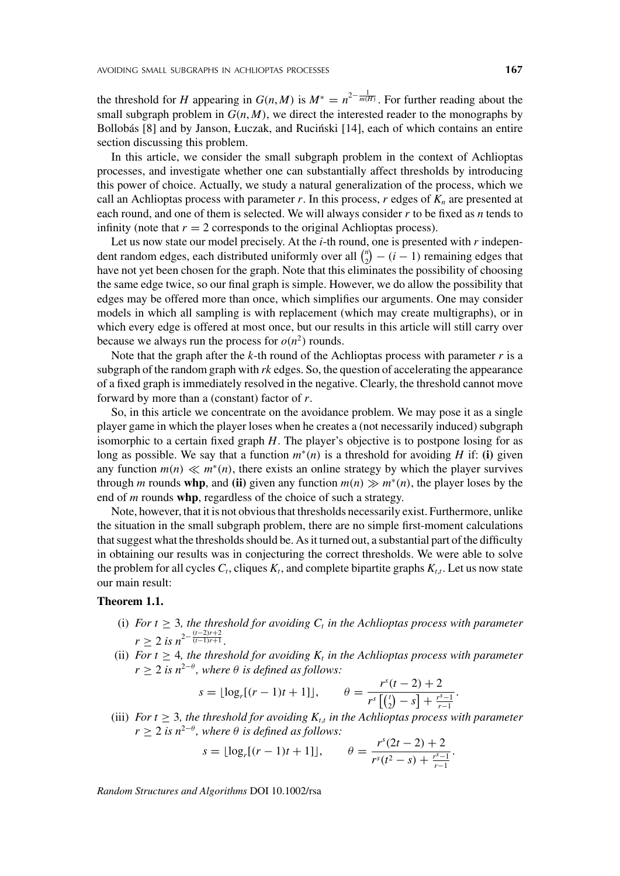the threshold for *H* appearing in  $G(n, M)$  is  $M^* = n^{2 - \frac{1}{m(H)}}$ . For further reading about the small subgraph problem in  $G(n, M)$ , we direct the interested reader to the monographs by Bollobás [8] and by Janson, Łuczak, and Rucinski [14], each of which contains an entire section discussing this problem.

In this article, we consider the small subgraph problem in the context of Achlioptas processes, and investigate whether one can substantially affect thresholds by introducing this power of choice. Actually, we study a natural generalization of the process, which we call an Achlioptas process with parameter  $r$ . In this process,  $r$  edges of  $K_n$  are presented at each round, and one of them is selected. We will always consider *r* to be fixed as *n* tends to infinity (note that  $r = 2$  corresponds to the original Achlioptas process).

Let us now state our model precisely. At the *i*-th round, one is presented with *r* independent random edges, each distributed uniformly over all  $\binom{n}{2} - (i - 1)$  remaining edges that have not yet been chosen for the graph. Note that this eliminates the possibility of choosing the same edge twice, so our final graph is simple. However, we do allow the possibility that edges may be offered more than once, which simplifies our arguments. One may consider models in which all sampling is with replacement (which may create multigraphs), or in which every edge is offered at most once, but our results in this article will still carry over because we always run the process for  $o(n^2)$  rounds.

Note that the graph after the *k*-th round of the Achlioptas process with parameter *r* is a subgraph of the random graph with *rk* edges. So, the question of accelerating the appearance of a fixed graph is immediately resolved in the negative. Clearly, the threshold cannot move forward by more than a (constant) factor of *r*.

So, in this article we concentrate on the avoidance problem. We may pose it as a single player game in which the player loses when he creates a (not necessarily induced) subgraph isomorphic to a certain fixed graph *H*. The player's objective is to postpone losing for as long as possible. We say that a function  $m^*(n)$  is a threshold for avoiding *H* if: (i) given any function  $m(n) \ll m^*(n)$ , there exists an online strategy by which the player survives through *m* rounds **whp**, and **(ii)** given any function  $m(n) \gg m^*(n)$ , the player loses by the end of *m* rounds **whp**, regardless of the choice of such a strategy.

Note, however, that it is not obvious that thresholds necessarily exist. Furthermore, unlike the situation in the small subgraph problem, there are no simple first-moment calculations that suggest what the thresholds should be. As it turned out, a substantial part of the difficulty in obtaining our results was in conjecturing the correct thresholds. We were able to solve the problem for all cycles  $C_t$ , cliques  $K_t$ , and complete bipartite graphs  $K_t$ , Let us now state our main result:

## **Theorem 1.1.**

- (i) *For t*  $\geq$  3*, the threshold for avoiding*  $C_t$  *in the Achlioptas process with parameter*  $r \geq 2$  *is*  $n^{2-\frac{(t-2)r+2}{(t-1)r+1}}$ .
- (ii) *For t*  $\geq$  4, the threshold for avoiding  $K_t$  *in the Achlioptas process with parameter*  $r \geq 2$  *is*  $n^{2-\theta}$ *, where*  $\theta$  *is defined as follows:*

$$
s = \lfloor \log_r[(r-1)t+1] \rfloor, \qquad \theta = \frac{r^s(t-2)+2}{r^s\left[\binom{t}{2}-s\right]+\frac{r^s-1}{r-1}}
$$

.

(iii) *For t*  $\geq$  3*, the threshold for avoiding*  $K_{t,t}$  *in the Achlioptas process with parameter*  $r \geq 2$  *is*  $n^{2-\theta}$ *, where*  $\theta$  *is defined as follows: (*2*t* − 2*)* + 2

$$
s = \lfloor \log_r[(r-1)t+1] \rfloor, \qquad \theta = \frac{r^s(2t-2) + 2}{r^s(t^2 - s) + \frac{r^s - 1}{r-1}}.
$$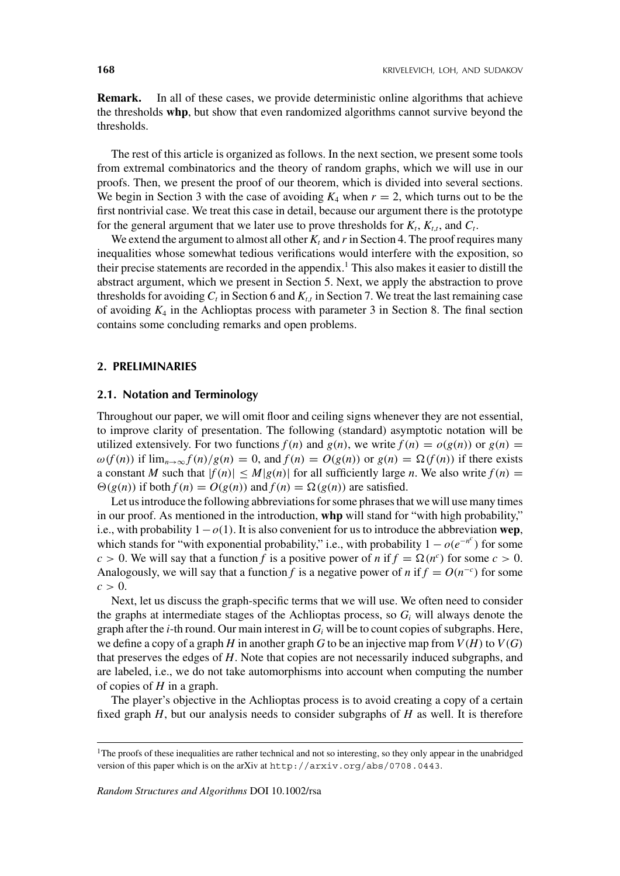**Remark.** In all of these cases, we provide deterministic online algorithms that achieve the thresholds **whp**, but show that even randomized algorithms cannot survive beyond the thresholds.

The rest of this article is organized as follows. In the next section, we present some tools from extremal combinatorics and the theory of random graphs, which we will use in our proofs. Then, we present the proof of our theorem, which is divided into several sections. We begin in Section 3 with the case of avoiding  $K_4$  when  $r = 2$ , which turns out to be the first nontrivial case. We treat this case in detail, because our argument there is the prototype for the general argument that we later use to prove thresholds for  $K_t$ ,  $K_{tt}$ , and  $C_t$ .

We extend the argument to almost all other  $K_t$  and  $r$  in Section 4. The proof requires many inequalities whose somewhat tedious verifications would interfere with the exposition, so their precise statements are recorded in the appendix.1 This also makes it easier to distill the abstract argument, which we present in Section 5. Next, we apply the abstraction to prove thresholds for avoiding  $C_t$  in Section 6 and  $K_{t,t}$  in Section 7. We treat the last remaining case of avoiding  $K_4$  in the Achlioptas process with parameter 3 in Section 8. The final section contains some concluding remarks and open problems.

# **2. PRELIMINARIES**

### **2.1. Notation and Terminology**

Throughout our paper, we will omit floor and ceiling signs whenever they are not essential, to improve clarity of presentation. The following (standard) asymptotic notation will be utilized extensively. For two functions  $f(n)$  and  $g(n)$ , we write  $f(n) = o(g(n))$  or  $g(n) =$  $\omega(f(n))$  if  $\lim_{n\to\infty} f(n)/g(n) = 0$ , and  $f(n) = O(g(n))$  or  $g(n) = \Omega(f(n))$  if there exists a constant *M* such that  $|f(n)| \le M|g(n)|$  for all sufficiently large *n*. We also write  $f(n) =$  $\Theta(g(n))$  if both  $f(n) = O(g(n))$  and  $f(n) = \Omega(g(n))$  are satisfied.

Let us introduce the following abbreviations for some phrases that we will use many times in our proof. As mentioned in the introduction, **whp** will stand for "with high probability," i.e., with probability 1−*o(*1*)*. It is also convenient for us to introduce the abbreviation **wep**, which stands for "with exponential probability," i.e., with probability  $1 - o(e^{-n^c})$  for some  $c > 0$ . We will say that a function *f* is a positive power of *n* if  $f = \Omega(n^c)$  for some  $c > 0$ . Analogously, we will say that a function *f* is a negative power of *n* if  $f = O(n^{-c})$  for some  $c > 0$ .

Next, let us discuss the graph-specific terms that we will use. We often need to consider the graphs at intermediate stages of the Achlioptas process, so  $G_i$  will always denote the graph after the *i*-th round. Our main interest in *Gi* will be to count copies of subgraphs. Here, we define a copy of a graph *H* in another graph *G* to be an injective map from  $V(H)$  to  $V(G)$ that preserves the edges of *H*. Note that copies are not necessarily induced subgraphs, and are labeled, i.e., we do not take automorphisms into account when computing the number of copies of *H* in a graph.

The player's objective in the Achlioptas process is to avoid creating a copy of a certain fixed graph *H*, but our analysis needs to consider subgraphs of *H* as well. It is therefore

 $1$ The proofs of these inequalities are rather technical and not so interesting, so they only appear in the unabridged version of this paper which is on the arXiv at http://arxiv.org/abs/0708.0443.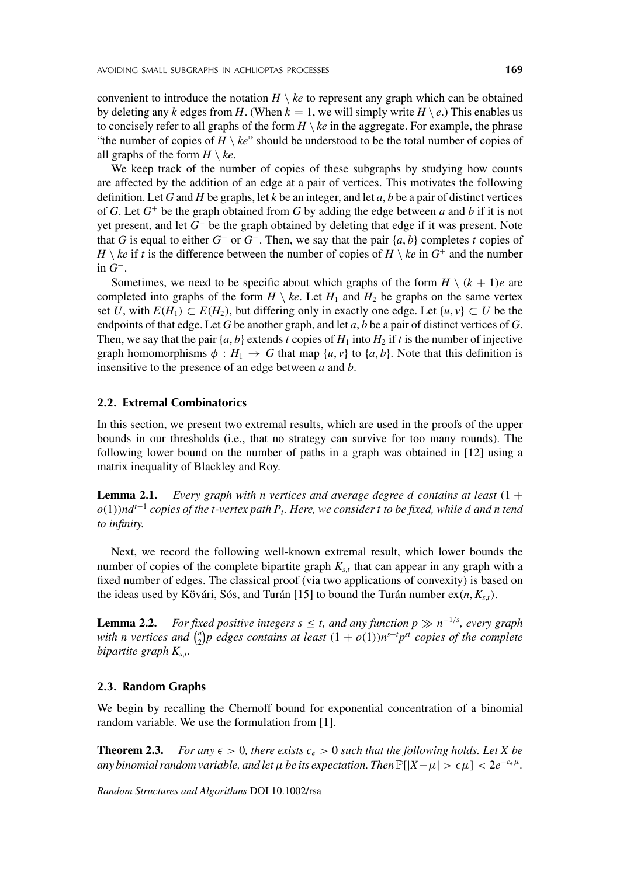convenient to introduce the notation  $H \setminus ke$  to represent any graph which can be obtained by deleting any *k* edges from *H*. (When  $k = 1$ , we will simply write  $H \setminus e$ .) This enables us to concisely refer to all graphs of the form  $H \setminus ke$  in the aggregate. For example, the phrase "the number of copies of  $H \setminus ke$ " should be understood to be the total number of copies of all graphs of the form  $H \setminus ke$ .

We keep track of the number of copies of these subgraphs by studying how counts are affected by the addition of an edge at a pair of vertices. This motivates the following definition. Let *G* and *H* be graphs, let *k* be an integer, and let *a*, *b* be a pair of distinct vertices of *G*. Let  $G^+$  be the graph obtained from *G* by adding the edge between *a* and *b* if it is not yet present, and let *G*<sup>−</sup> be the graph obtained by deleting that edge if it was present. Note that *G* is equal to either  $G^+$  or  $G^-$ . Then, we say that the pair  $\{a, b\}$  completes *t* copies of *H* \ *ke* if *t* is the difference between the number of copies of *H* \ *ke* in  $G^+$  and the number in *G*<sup>−</sup>.

Sometimes, we need to be specific about which graphs of the form  $H \setminus (k+1)e$  are completed into graphs of the form  $H \setminus ke$ . Let  $H_1$  and  $H_2$  be graphs on the same vertex set *U*, with  $E(H_1) \subset E(H_2)$ , but differing only in exactly one edge. Let  $\{u, v\} \subset U$  be the endpoints of that edge. Let *G* be another graph, and let *a*, *b* be a pair of distinct vertices of *G*. Then, we say that the pair  $\{a, b\}$  extends *t* copies of  $H_1$  into  $H_2$  if *t* is the number of injective graph homomorphisms  $\phi : H_1 \to G$  that map  $\{u, v\}$  to  $\{a, b\}$ . Note that this definition is insensitive to the presence of an edge between *a* and *b*.

## **2.2. Extremal Combinatorics**

In this section, we present two extremal results, which are used in the proofs of the upper bounds in our thresholds (i.e., that no strategy can survive for too many rounds). The following lower bound on the number of paths in a graph was obtained in [12] using a matrix inequality of Blackley and Roy.

**Lemma 2.1.** *Every graph with n vertices and average degree d contains at least*  $(1 +$  $o(1)$ *nd*<sup> $t-1$ </sup> *copies of the t-vertex path P<sub>t</sub>. Here, we consider t to be fixed, while d and n tend to infinity.*

Next, we record the following well-known extremal result, which lower bounds the number of copies of the complete bipartite graph  $K<sub>st</sub>$  that can appear in any graph with a fixed number of edges. The classical proof (via two applications of convexity) is based on the ideas used by Kövári, Sós, and Turán [15] to bound the Turán number  $ex(n, K_{s,t})$ .

**Lemma 2.2.** *For fixed positive integers s*  $\leq$  *t, and any function p*  $\gg$  *n*<sup>−1/*s*</sup>, *every graph with n vertices and*  $\binom{n}{2}$ *p edges contains at least*  $(1 + o(1))n^{s+t}p^{st}$  *copies of the complete bipartite graph Ks*,*t.*

## **2.3. Random Graphs**

We begin by recalling the Chernoff bound for exponential concentration of a binomial random variable. We use the formulation from [1].

**Theorem 2.3.** For any  $\epsilon > 0$ , there exists  $c_{\epsilon} > 0$  such that the following holds. Let X be *any binomial random variable, and let*  $\mu$  *be its expectation. Then*  $\mathbb{P}(|X-\mu| > \epsilon \mu] < 2e^{-c_{\epsilon}\mu}$ .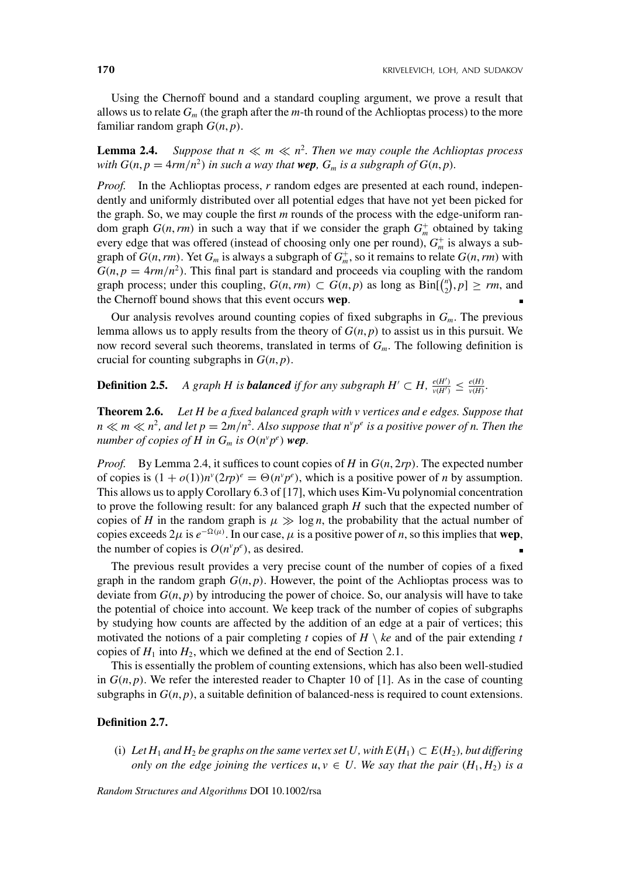Using the Chernoff bound and a standard coupling argument, we prove a result that allows us to relate *Gm* (the graph after the *m*-th round of the Achlioptas process) to the more familiar random graph  $G(n, p)$ .

**Lemma 2.4.** *Suppose that*  $n \ll m \ll n^2$ *. Then we may couple the Achlioptas process with*  $G(n, p = 4rm/n^2)$  *in such a way that wep*,  $G_m$  *is a subgraph of*  $G(n, p)$ *.* 

*Proof.* In the Achlioptas process, *r* random edges are presented at each round, independently and uniformly distributed over all potential edges that have not yet been picked for the graph. So, we may couple the first *m* rounds of the process with the edge-uniform random graph  $G(n, rm)$  in such a way that if we consider the graph  $G_m^+$  obtained by taking every edge that was offered (instead of choosing only one per round),  $G_m^+$  is always a subgraph of  $G(n, rm)$ . Yet  $G_m$  is always a subgraph of  $G_m^+$ , so it remains to relate  $G(n, rm)$  with  $G(n, p = 4rm/n<sup>2</sup>)$ . This final part is standard and proceeds via coupling with the random graph process; under this coupling,  $G(n, rm) \subset G(n, p)$  as long as  $Bin\binom{n}{2}, p \geq rm$ , and the Chernoff bound shows that this event occurs **wep**.

Our analysis revolves around counting copies of fixed subgraphs in *Gm*. The previous lemma allows us to apply results from the theory of  $G(n, p)$  to assist us in this pursuit. We now record several such theorems, translated in terms of *Gm*. The following definition is crucial for counting subgraphs in  $G(n, p)$ .

**Definition 2.5.** A graph H is **balanced** if for any subgraph  $H' \subset H$ ,  $\frac{e(H')}{v(H')} \leq \frac{e(H)}{v(H)}$ .

**Theorem 2.6.** *Let H be a fixed balanced graph with v vertices and e edges. Suppose that*  $n \ll m \ll n^2$ , and let  $p = 2m/n^2$ . Also suppose that  $n^vp^e$  is a positive power of n. Then the *number of copies of H in*  $G_m$  *is*  $O(n^{\nu} p^e)$  *wep.* 

*Proof.* By Lemma 2.4, it suffices to count copies of *H* in  $G(n, 2rp)$ . The expected number of copies is  $(1 + o(1))n^{\nu}(2rp)^{e} = \Theta(n^{\nu}p^{e})$ , which is a positive power of *n* by assumption. This allows us to apply Corollary 6.3 of [17], which uses Kim-Vu polynomial concentration to prove the following result: for any balanced graph *H* such that the expected number of copies of *H* in the random graph is  $\mu \gg \log n$ , the probability that the actual number of copies exceeds  $2\mu$  is  $e^{-\Omega(\mu)}$ . In our case,  $\mu$  is a positive power of *n*, so this implies that **wep**, the number of copies is  $O(n^{\nu} p^e)$ , as desired.

The previous result provides a very precise count of the number of copies of a fixed graph in the random graph  $G(n, p)$ . However, the point of the Achlioptas process was to deviate from  $G(n, p)$  by introducing the power of choice. So, our analysis will have to take the potential of choice into account. We keep track of the number of copies of subgraphs by studying how counts are affected by the addition of an edge at a pair of vertices; this motivated the notions of a pair completing *t* copies of  $H \setminus ke$  and of the pair extending *t* copies of  $H_1$  into  $H_2$ , which we defined at the end of Section 2.1.

This is essentially the problem of counting extensions, which has also been well-studied in  $G(n, p)$ . We refer the interested reader to Chapter 10 of [1]. As in the case of counting subgraphs in  $G(n, p)$ , a suitable definition of balanced-ness is required to count extensions.

## **Definition 2.7.**

(i) Let  $H_1$  and  $H_2$  be graphs on the same vertex set U, with  $E(H_1) \subset E(H_2)$ , but differing *only on the edge joining the vertices*  $u, v \in U$ *. We say that the pair*  $(H_1, H_2)$  *is a*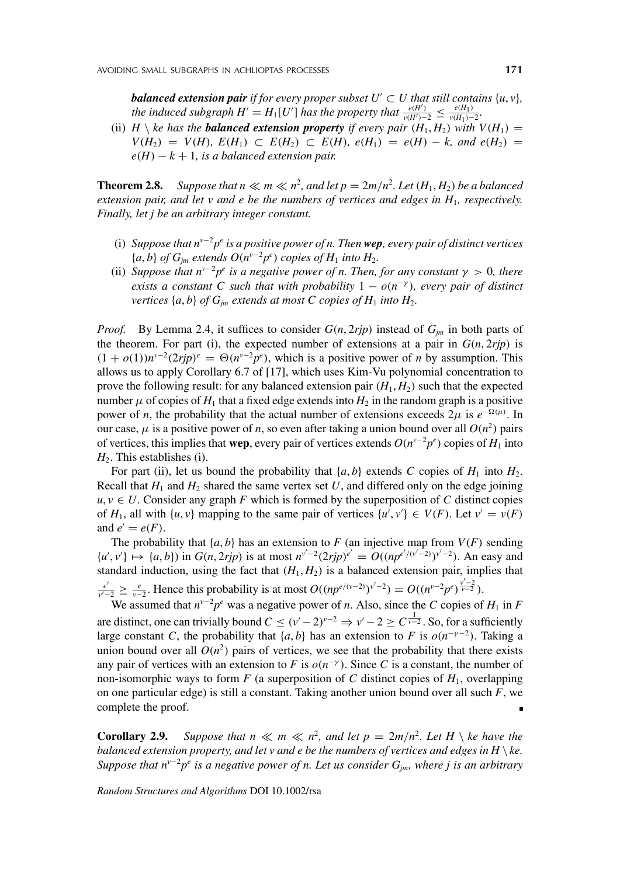*balanced extension pair if for every proper subset*  $U' \subset U$  *that still contains*  $\{u, v\}$ *,* the induced subgraph  $H' = H_1[U']$  has the property that  $\frac{e(H')}{v(H')-2} \leq \frac{e(H_1)}{v(H_1)-2}$ .

(ii)  $H \setminus \mathit{ke}$  has the **balanced extension property** if every pair  $(H_1, H_2)$  with  $V(H_1)$  =  $V(H_2) = V(H), E(H_1) \subset E(H_2) \subset E(H), e(H_1) = e(H) - k$ , and  $e(H_2) =$  $e(H) - k + 1$ *, is a balanced extension pair.* 

**Theorem 2.8.** Suppose that  $n \ll m \ll n^2$ , and let  $p = 2m/n^2$ . Let  $(H_1, H_2)$  be a balanced *extension pair, and let v and e be the numbers of vertices and edges in H*1*, respectively. Finally, let j be an arbitrary integer constant.*

- (i) *Suppose that nv*<sup>−</sup>2*pe is a positive power of n. Then wep, every pair of distinct vertices*  ${a,b}$  *of*  $G_{jm}$  *extends*  $O(n^{v-2}p^e)$  *copies of*  $H_1$  *into*  $H_2$ *.*
- (ii) *Suppose that*  $n^{v-2}p^e$  *is a negative power of n. Then, for any constant*  $\gamma > 0$ *, there exists a constant C such that with probability*  $1 - o(n^{-\gamma})$ *, every pair of distinct vertices*  $\{a, b\}$  *of*  $G_{jm}$  *extends at most* C *copies of*  $H_1$  *into*  $H_2$ *.*

*Proof.* By Lemma 2.4, it suffices to consider  $G(n, 2*rip*)$  instead of  $G<sub>jm</sub>$  in both parts of the theorem. For part (i), the expected number of extensions at a pair in  $G(n, 2rip)$  is  $(1 + o(1))n^{\nu-2}(2rjp)^e = \Theta(n^{\nu-2}p^e)$ , which is a positive power of *n* by assumption. This allows us to apply Corollary 6.7 of [17], which uses Kim-Vu polynomial concentration to prove the following result: for any balanced extension pair  $(H_1, H_2)$  such that the expected number  $\mu$  of copies of  $H_1$  that a fixed edge extends into  $H_2$  in the random graph is a positive power of *n*, the probability that the actual number of extensions exceeds  $2\mu$  is  $e^{-\Omega(\mu)}$ . In our case,  $\mu$  is a positive power of *n*, so even after taking a union bound over all  $O(n^2)$  pairs of vertices, this implies that **wep**, every pair of vertices extends  $O(n^{\nu-2}p^e)$  copies of  $H_1$  into  $H<sub>2</sub>$ . This establishes (i).

For part (ii), let us bound the probability that  $\{a, b\}$  extends *C* copies of  $H_1$  into  $H_2$ . Recall that  $H_1$  and  $H_2$  shared the same vertex set *U*, and differed only on the edge joining  $u, v \in U$ . Consider any graph *F* which is formed by the superposition of *C* distinct copies of  $H_1$ , all with  $\{u, v\}$  mapping to the same pair of vertices  $\{u', v'\} \in V(F)$ . Let  $v' = v(F)$ and  $e' = e(F)$ .

The probability that  $\{a, b\}$  has an extension to *F* (an injective map from  $V(F)$  sending  $\{u', v'\} \mapsto \{a, b\}$  in  $G(n, 2rjp)$  is at most  $n^{v'-2}(2rjp)^{e'} = O((np^{e'/(v'-2)})^{v'-2})$ . An easy and standard induction, using the fact that  $(H_1, H_2)$  is a balanced extension pair, implies that  $\frac{e^{\prime}}{v^{\prime}-2} \geq \frac{e}{v-2}$ . Hence this probability is at most  $O((np^{e/(v-2)})^{v^{\prime}-2}) = O((n^{v-2}p^e)^{\frac{v^{\prime}-2}{v-2}})$ .

We assumed that  $n^{v-2}p^e$  was a negative power of *n*. Also, since the *C* copies of  $H_1$  in *F* are distinct, one can trivially bound  $C \le (v'-2)^{v-2} \Rightarrow v'-2 \ge C^{\frac{1}{v-2}}$ . So, for a sufficiently large constant *C*, the probability that  $\{a, b\}$  has an extension to *F* is  $o(n^{-\gamma-2})$ . Taking a union bound over all  $O(n^2)$  pairs of vertices, we see that the probability that there exists any pair of vertices with an extension to *F* is  $o(n^{-\gamma})$ . Since *C* is a constant, the number of non-isomorphic ways to form  $F$  (a superposition of  $C$  distinct copies of  $H_1$ , overlapping on one particular edge) is still a constant. Taking another union bound over all such *F*, we complete the proof.

**Corollary 2.9.** Suppose that  $n \ll m \ll n^2$ , and let  $p = 2m/n^2$ . Let  $H \setminus \mathcal{R}$  have the *balanced extension property, and let v and e be the numbers of vertices and edges in H \ ke. Suppose that n<sup>v−2</sup><i>p*<sup>*e*</sup> *is a negative power of n. Let us consider*  $G_{jm}$ *, where j is an arbitrary*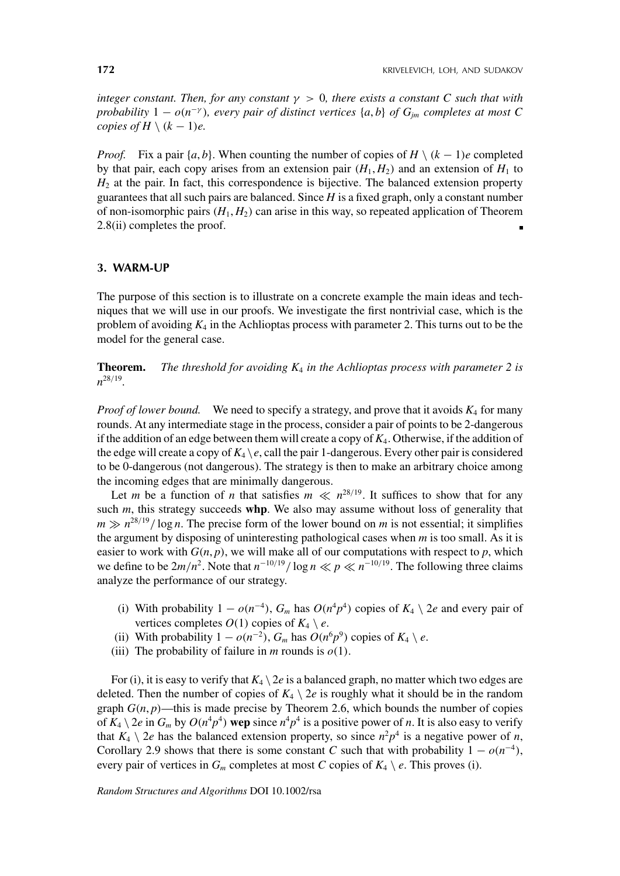*integer constant. Then, for any constant*  $\gamma > 0$ *, there exists a constant* C such that with *probability*  $1 - o(n^{-\gamma})$ , *every pair of distinct vertices*  $\{a, b\}$  *of G<sub>im</sub> completes at most C copies of H*  $\setminus$   $(k-1)e$ .

*Proof.* Fix a pair  $\{a, b\}$ . When counting the number of copies of  $H \setminus (k-1)e$  completed by that pair, each copy arises from an extension pair  $(H_1, H_2)$  and an extension of  $H_1$  to  $H<sub>2</sub>$  at the pair. In fact, this correspondence is bijective. The balanced extension property guarantees that all such pairs are balanced. Since *H* is a fixed graph, only a constant number of non-isomorphic pairs  $(H_1, H_2)$  can arise in this way, so repeated application of Theorem 2.8(ii) completes the proof.

## **3. WARM-UP**

The purpose of this section is to illustrate on a concrete example the main ideas and techniques that we will use in our proofs. We investigate the first nontrivial case, which is the problem of avoiding *K*<sup>4</sup> in the Achlioptas process with parameter 2. This turns out to be the model for the general case.

**Theorem.** *The threshold for avoiding K*<sup>4</sup> *in the Achlioptas process with parameter 2 is n*<sup>28</sup>*/*<sup>19</sup>*.*

*Proof of lower bound.* We need to specify a strategy, and prove that it avoids  $K_4$  for many rounds. At any intermediate stage in the process, consider a pair of points to be 2-dangerous if the addition of an edge between them will create a copy of *K*4. Otherwise, if the addition of the edge will create a copy of  $K_4 \backslash e$ , call the pair 1-dangerous. Every other pair is considered to be 0-dangerous (not dangerous). The strategy is then to make an arbitrary choice among the incoming edges that are minimally dangerous.

Let *m* be a function of *n* that satisfies  $m \ll n^{28/19}$ . It suffices to show that for any such *m*, this strategy succeeds **whp**. We also may assume without loss of generality that  $m \gg n^{28/19}$  / log *n*. The precise form of the lower bound on *m* is not essential; it simplifies the argument by disposing of uninteresting pathological cases when *m* is too small. As it is easier to work with  $G(n, p)$ , we will make all of our computations with respect to  $p$ , which we define to be  $2m/n^2$ . Note that  $n^{-10/19}/\log n \ll p \ll n^{-10/19}$ . The following three claims analyze the performance of our strategy.

- (i) With probability  $1 o(n^{-4})$ ,  $G_m$  has  $O(n^4p^4)$  copies of  $K_4 \setminus 2e$  and every pair of vertices completes  $O(1)$  copies of  $K_4 \setminus e$ .
- (ii) With probability  $1 o(n^{-2})$ ,  $G_m$  has  $O(n^6p^9)$  copies of  $K_4 \setminus e$ .
- (iii) The probability of failure in *m* rounds is  $o(1)$ .

For (i), it is easy to verify that  $K_4 \setminus 2e$  is a balanced graph, no matter which two edges are deleted. Then the number of copies of  $K_4 \setminus 2e$  is roughly what it should be in the random graph  $G(n, p)$ —this is made precise by Theorem 2.6, which bounds the number of copies of  $K_4 \setminus 2e$  in  $G_m$  by  $O(n^4p^4)$  wep since  $n^4p^4$  is a positive power of *n*. It is also easy to verify that  $K_4 \setminus 2e$  has the balanced extension property, so since  $n^2p^4$  is a negative power of *n*, Corollary 2.9 shows that there is some constant *C* such that with probability  $1 - o(n^{-4})$ , every pair of vertices in  $G_m$  completes at most *C* copies of  $K_4 \setminus e$ . This proves (i).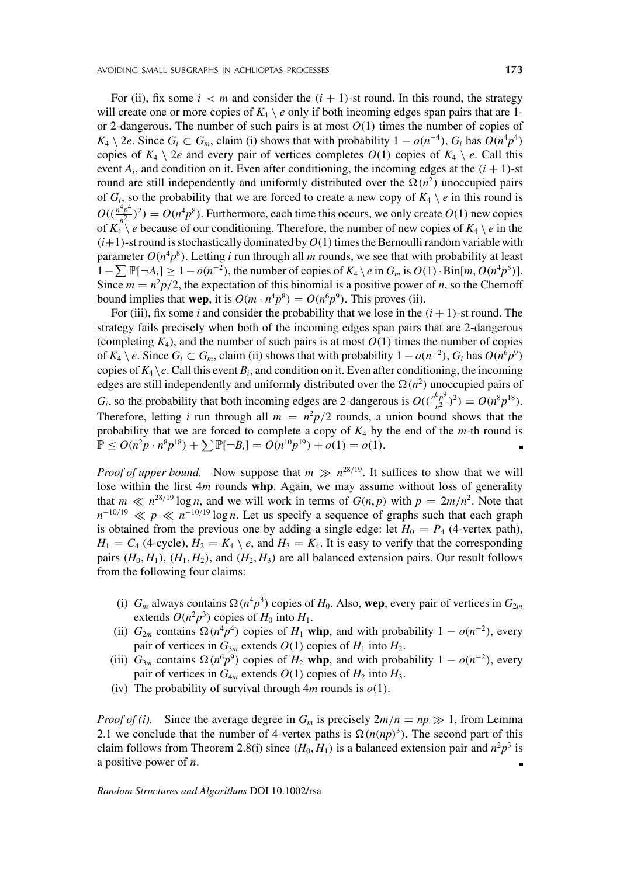For (ii), fix some  $i < m$  and consider the  $(i + 1)$ -st round. In this round, the strategy will create one or more copies of  $K_4 \setminus e$  only if both incoming edges span pairs that are 1or 2-dangerous. The number of such pairs is at most  $O(1)$  times the number of copies of *K*<sub>4</sub> \ 2*e*. Since *G<sub>i</sub>* ⊂ *G<sub>m</sub>*, claim (i) shows that with probability  $1 - o(n^{-4})$ , *G<sub>i</sub>* has  $O(n^4p^4)$ copies of  $K_4 \setminus 2e$  and every pair of vertices completes  $O(1)$  copies of  $K_4 \setminus e$ . Call this event  $A_i$ , and condition on it. Even after conditioning, the incoming edges at the  $(i + 1)$ -st round are still independently and uniformly distributed over the  $\Omega(n^2)$  unoccupied pairs of  $G_i$ , so the probability that we are forced to create a new copy of  $K_4 \setminus e$  in this round is  $O((\frac{n^4 p^4}{n^2})^2) = O(n^4 p^8)$ . Furthermore, each time this occurs, we only create  $O(1)$  new copies of  $K_4 \setminus e$  because of our conditioning. Therefore, the number of new copies of  $K_4 \setminus e$  in the  $(i+1)$ -st round is stochastically dominated by  $O(1)$  times the Bernoulli random variable with parameter  $O(n^4p^8)$ . Letting *i* run through all *m* rounds, we see that with probability at least 1 –  $\sum \mathbb{P}[\neg A_i] \ge 1 - o(n^{-2})$ , the number of copies of  $K_4 \setminus e$  in  $G_m$  is  $O(1) \cdot \text{Bin}[m, O(n^4p^8)]$ . Since  $m = n^2 p/2$ , the expectation of this binomial is a positive power of *n*, so the Chernoff bound implies that **wep**, it is  $O(m \cdot n^4 p^8) = O(n^6 p^9)$ . This proves (ii).

For (iii), fix some *i* and consider the probability that we lose in the  $(i + 1)$ -st round. The strategy fails precisely when both of the incoming edges span pairs that are 2-dangerous (completing  $K_4$ ), and the number of such pairs is at most  $O(1)$  times the number of copies of *K*<sub>4</sub> \ *e*. Since *G<sub>i</sub>* ⊂ *G<sub>m</sub>*, claim (ii) shows that with probability  $1 - o(n^{-2})$ , *G<sub>i</sub>* has  $O(n^6p^9)$ copies of  $K_4 \backslash e$ . Call this event  $B_i$ , and condition on it. Even after conditioning, the incoming edges are still independently and uniformly distributed over the  $\Omega(n^2)$  unoccupied pairs of *G<sub>i</sub>*, so the probability that both incoming edges are 2-dangerous is  $O((\frac{n^6 p^9}{n^2})^2) = O(n^8 p^{18})$ . Therefore, letting *i* run through all  $m = n^2p/2$  rounds, a union bound shows that the probability that we are forced to complete a copy of  $K_4$  by the end of the *m*-th round is  $\mathbb{P} \leq O(n^2p \cdot n^8p^{18}) + \sum \mathbb{P}[\neg B_i] = O(n^{10}p^{19}) + o(1) = o(1).$ 

*Proof of upper bound.* Now suppose that  $m \gg n^{28/19}$ . It suffices to show that we will lose within the first 4*m* rounds **whp**. Again, we may assume without loss of generality that  $m \ll n^{28/19} \log n$ , and we will work in terms of  $G(n, p)$  with  $p = 2m/n^2$ . Note that  $n^{-10/19} \ll p \ll n^{-10/19} \log n$ . Let us specify a sequence of graphs such that each graph is obtained from the previous one by adding a single edge: let  $H_0 = P_4$  (4-vertex path),  $H_1 = C_4$  (4-cycle),  $H_2 = K_4 \setminus e$ , and  $H_3 = K_4$ . It is easy to verify that the corresponding pairs  $(H_0, H_1)$ ,  $(H_1, H_2)$ , and  $(H_2, H_3)$  are all balanced extension pairs. Our result follows from the following four claims:

- (i)  $G_m$  always contains  $\Omega(n^4p^3)$  copies of  $H_0$ . Also, wep, every pair of vertices in  $G_{2m}$ extends  $O(n^2p^3)$  copies of  $H_0$  into  $H_1$ .
- (ii)  $G_{2m}$  contains  $\Omega(n^4p^4)$  copies of  $H_1$  **whp**, and with probability  $1 o(n^{-2})$ , every pair of vertices in  $G_{3m}$  extends  $O(1)$  copies of  $H_1$  into  $H_2$ .
- (iii)  $G_{3m}$  contains  $\Omega(n^6p^9)$  copies of  $H_2$  whp, and with probability  $1 o(n^{-2})$ , every pair of vertices in  $G_{4m}$  extends  $O(1)$  copies of  $H_2$  into  $H_3$ .
- (iv) The probability of survival through 4*m* rounds is *o(*1*)*.

*Proof of (i).* Since the average degree in  $G_m$  is precisely  $2m/n = np \gg 1$ , from Lemma 2.1 we conclude that the number of 4-vertex paths is  $\Omega(n(np)^3)$ . The second part of this claim follows from Theorem 2.8(i) since  $(H_0, H_1)$  is a balanced extension pair and  $n^2p^3$  is a positive power of *n*.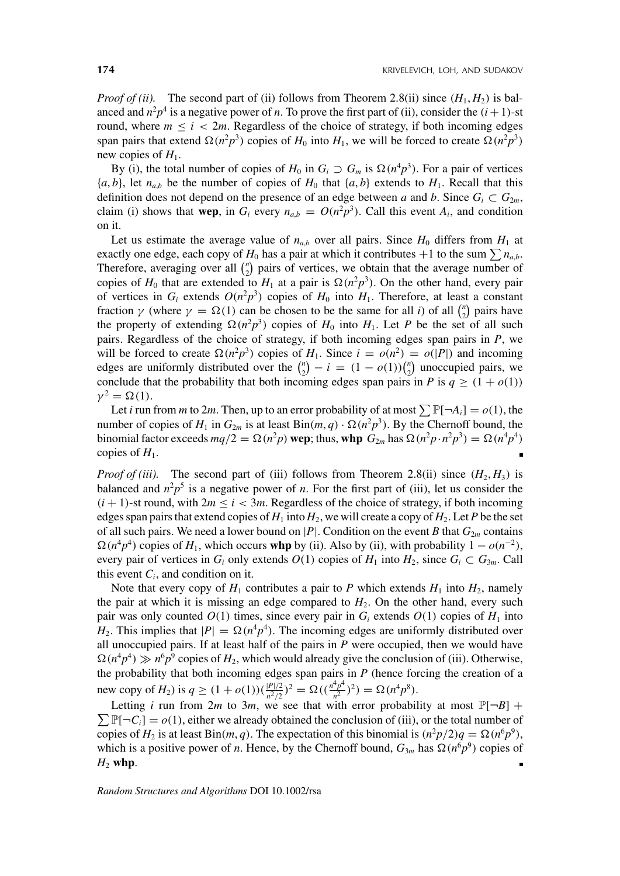*Proof of (ii).* The second part of (ii) follows from Theorem 2.8(ii) since  $(H_1, H_2)$  is balanced and  $n^2p^4$  is a negative power of *n*. To prove the first part of (ii), consider the  $(i + 1)$ -st round, where  $m \le i < 2m$ . Regardless of the choice of strategy, if both incoming edges span pairs that extend  $\Omega(n^2p^3)$  copies of  $H_0$  into  $H_1$ , we will be forced to create  $\Omega(n^2p^3)$ new copies of  $H_1$ .

By (i), the total number of copies of  $H_0$  in  $G_i \supset G_m$  is  $\Omega(n^4p^3)$ . For a pair of vertices  ${a,b}$ , let  $n_{a,b}$  be the number of copies of  $H_0$  that  ${a,b}$  extends to  $H_1$ . Recall that this definition does not depend on the presence of an edge between *a* and *b*. Since  $G_i \subset G_{2m}$ , claim (i) shows that **wep**, in  $G_i$  every  $n_{a,b} = O(n^2p^3)$ . Call this event  $A_i$ , and condition on it.

Let us estimate the average value of  $n_{a,b}$  over all pairs. Since  $H_0$  differs from  $H_1$  at exactly one edge, each copy of  $H_0$  has a pair at which it contributes  $+1$  to the sum  $\sum n_{a,b}$ . Therefore, averaging over all  $\binom{n}{2}$  pairs of vertices, we obtain that the average number of copies of  $H_0$  that are extended to  $H_1$  at a pair is  $\Omega(n^2p^3)$ . On the other hand, every pair of vertices in  $G_i$  extends  $O(n^2p^3)$  copies of  $H_0$  into  $H_1$ . Therefore, at least a constant fraction *γ* (where  $\gamma = \Omega(1)$  can be chosen to be the same for all *i*) of all  $\binom{n}{2}$  pairs have the property of extending  $\Omega(n^2p^3)$  copies of  $H_0$  into  $H_1$ . Let P be the set of all such pairs. Regardless of the choice of strategy, if both incoming edges span pairs in *P*, we will be forced to create  $\Omega(n^2p^3)$  copies of  $H_1$ . Since  $i = o(n^2) = o(|P|)$  and incoming edges are uniformly distributed over the  $\binom{n}{2} - i = (1 - o(1))\binom{n}{2}$  unoccupied pairs, we conclude that the probability that both incoming edges span pairs in *P* is  $q \geq (1 + o(1))$  $\gamma^2 = \Omega(1)$ .

Let *i* run from *m* to 2*m*. Then, up to an error probability of at most  $\sum \mathbb{P}[\neg A_i] = o(1)$ , the number of copies of  $H_1$  in  $G_{2m}$  is at least  $Bin(m, q) \cdot \Omega(n^2p^3)$ . By the Chernoff bound, the binomial factor exceeds  $mq/2 = \Omega(n^2p)$  wep; thus, whp  $G_{2m}$  has  $\Omega(n^2p \cdot n^2p^3) = \Omega(n^4p^4)$ copies of  $H_1$ .

*Proof of (iii).* The second part of (iii) follows from Theorem 2.8(ii) since  $(H_2, H_3)$  is balanced and  $n^2p^5$  is a negative power of *n*. For the first part of (iii), let us consider the  $(i + 1)$ -st round, with  $2m \le i < 3m$ . Regardless of the choice of strategy, if both incoming edges span pairs that extend copies of  $H_1$  into  $H_2$ , we will create a copy of  $H_2$ . Let *P* be the set of all such pairs. We need a lower bound on  $|P|$ . Condition on the event *B* that  $G_{2m}$  contains  $\Omega(n^4p^4)$  copies of *H*<sub>1</sub>, which occurs **whp** by (ii). Also by (ii), with probability  $1 - o(n^{-2})$ , every pair of vertices in  $G_i$  only extends  $O(1)$  copies of  $H_1$  into  $H_2$ , since  $G_i \subset G_{3m}$ . Call this event  $C_i$ , and condition on it.

Note that every copy of  $H_1$  contributes a pair to P which extends  $H_1$  into  $H_2$ , namely the pair at which it is missing an edge compared to  $H_2$ . On the other hand, every such pair was only counted  $O(1)$  times, since every pair in  $G_i$  extends  $O(1)$  copies of  $H_1$  into *H*<sub>2</sub>. This implies that  $|P| = \Omega(n^4p^4)$ . The incoming edges are uniformly distributed over all unoccupied pairs. If at least half of the pairs in  $P$  were occupied, then we would have  $\Omega(n^4p^4) \gg n^6p^9$  copies of *H*<sub>2</sub>, which would already give the conclusion of (iii). Otherwise, the probability that both incoming edges span pairs in *P* (hence forcing the creation of a new copy of  $H_2$ ) is  $q \ge (1 + o(1))(\frac{|P|/2}{n^2/2})^2 = \Omega((\frac{n^4p^4}{n^2})^2) = \Omega(n^4p^8)$ .

 $\sum \mathbb{P}[\neg C_i] = o(1)$ , either we already obtained the conclusion of (iii), or the total number of Letting *i* run from 2*m* to 3*m*, we see that with error probability at most  $\mathbb{P}[\neg B]$  + copies of  $H_2$  is at least Bin $(m, q)$ . The expectation of this binomial is  $(n^2p/2)q = \Omega(n^6p^9)$ , which is a positive power of *n*. Hence, by the Chernoff bound,  $G_{3m}$  has  $\Omega(n^6p^9)$  copies of  $H_2$  **whp**.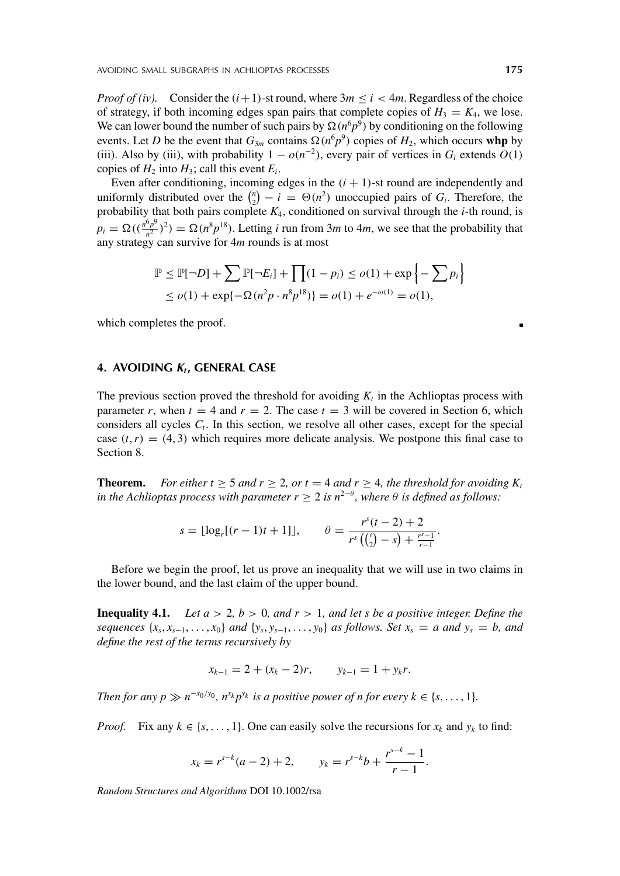*Proof of (iv).* Consider the  $(i+1)$ -st round, where  $3m < i < 4m$ . Regardless of the choice of strategy, if both incoming edges span pairs that complete copies of  $H_3 = K_4$ , we lose. We can lower bound the number of such pairs by  $\Omega(n^6p^9)$  by conditioning on the following events. Let *D* be the event that  $G_{3m}$  contains  $\Omega(n^6p^9)$  copies of  $H_2$ , which occurs whp by (iii). Also by (iii), with probability  $1 - o(n^{-2})$ , every pair of vertices in  $G_i$  extends  $O(1)$ copies of  $H_2$  into  $H_3$ ; call this event  $E_i$ .

Even after conditioning, incoming edges in the  $(i + 1)$ -st round are independently and uniformly distributed over the  $\binom{n}{2} - i = \Theta(n^2)$  unoccupied pairs of  $G_i$ . Therefore, the probability that both pairs complete *K*4, conditioned on survival through the *i*-th round, is  $p_i = \Omega((\frac{n^6 p^9}{n^2})^2) = \Omega(n^8 p^{18})$ . Letting *i* run from 3*m* to 4*m*, we see that the probability that any strategy can survive for 4*m* rounds is at most

$$
\mathbb{P} \le \mathbb{P}[\neg D] + \sum \mathbb{P}[\neg E_i] + \prod (1 - p_i) \le o(1) + \exp\{-\sum p_i\} \le o(1) + \exp\{-\Omega(n^2p \cdot n^8p^{18})\} = o(1) + e^{-\omega(1)} = o(1),
$$

which completes the proof.

## **4. AVOIDING**  $K_t$ **, GENERAL CASE**

The previous section proved the threshold for avoiding  $K_t$  in the Achlioptas process with parameter *r*, when  $t = 4$  and  $r = 2$ . The case  $t = 3$  will be covered in Section 6, which considers all cycles  $C_t$ . In this section, we resolve all other cases, except for the special case  $(t, r) = (4, 3)$  which requires more delicate analysis. We postpone this final case to Section 8.

**Theorem.** For either  $t \ge 5$  and  $r \ge 2$ , or  $t = 4$  and  $r \ge 4$ , the threshold for avoiding  $K_t$ *in the Achlioptas process with parameter*  $r \geq 2$  *<i>is n*<sup>2−*θ*</sup>, where  $\theta$  *is defined as follows:* 

$$
s = \lfloor \log_r[(r-1)t+1] \rfloor, \qquad \theta = \frac{r^s(t-2) + 2}{r^s\left(\binom{t}{2} - s\right) + \frac{r^s - 1}{r-1}}
$$

.

Before we begin the proof, let us prove an inequality that we will use in two claims in the lower bound, and the last claim of the upper bound.

**Inequality 4.1.** *Let*  $a > 2$ *,*  $b > 0$ *, and*  $r > 1$ *, and let s be a positive integer. Define the sequences*  $\{x_s, x_{s-1}, \ldots, x_0\}$  *and*  $\{y_s, y_{s-1}, \ldots, y_0\}$  *as follows. Set*  $x_s = a$  *and*  $y_s = b$ *, and define the rest of the terms recursively by*

$$
x_{k-1} = 2 + (x_k - 2)r, \qquad y_{k-1} = 1 + y_k r.
$$

*Then for any p*  $\gg n^{-x_0/y_0}$ ,  $n^{x_k}p^{y_k}$  *is a positive power of n for every*  $k \in \{s, \ldots, 1\}$ *.* 

*Proof.* Fix any  $k \in \{s, \ldots, 1\}$ . One can easily solve the recursions for  $x_k$  and  $y_k$  to find:

$$
x_k = r^{s-k}(a-2) + 2
$$
,  $y_k = r^{s-k}b + \frac{r^{s-k} - 1}{r-1}$ .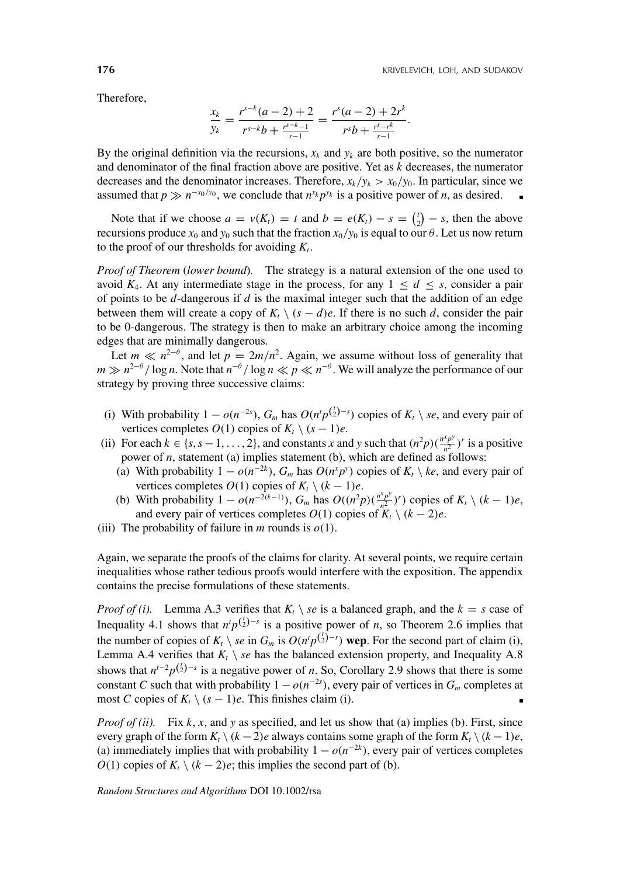Therefore,

$$
\frac{x_k}{y_k} = \frac{r^{s-k}(a-2)+2}{r^{s-k}b + \frac{r^{s-k}-1}{r-1}} = \frac{r^s(a-2)+2r^k}{r^s b + \frac{r^s-r^k}{r-1}}.
$$

By the original definition via the recursions,  $x_k$  and  $y_k$  are both positive, so the numerator and denominator of the final fraction above are positive. Yet as *k* decreases, the numerator decreases and the denominator increases. Therefore,  $x_k/y_k > x_0/y_0$ . In particular, since we assumed that  $p \gg n^{-x_0/y_0}$ , we conclude that  $n^{x_k} p^{y_k}$  is a positive power of *n*, as desired.

Note that if we choose  $a = v(K_t) = t$  and  $b = e(K_t) - s = {t \choose 2} - s$ , then the above recursions produce  $x_0$  and  $y_0$  such that the fraction  $x_0/y_0$  is equal to our  $\theta$ . Let us now return to the proof of our thresholds for avoiding  $K_t$ .

*Proof of Theorem* (*lower bound*)*.* The strategy is a natural extension of the one used to avoid  $K_4$ . At any intermediate stage in the process, for any  $1 \leq d \leq s$ , consider a pair of points to be *d*-dangerous if *d* is the maximal integer such that the addition of an edge between them will create a copy of  $K_t \setminus (s - d)e$ . If there is no such *d*, consider the pair to be 0-dangerous. The strategy is then to make an arbitrary choice among the incoming edges that are minimally dangerous.

Let  $m \ll n^{2-\theta}$ , and let  $p = 2m/n^2$ . Again, we assume without loss of generality that *m*  $\gg$  *n*<sup>2−*θ*</sup>/log *n*. Note that  $n^{-\theta}$ /log  $n \ll p \ll n^{-\theta}$ . We will analyze the performance of our strategy by proving three successive claims:

- (i) With probability  $1 o(n^{-2s})$ ,  $G_m$  has  $O(n^t p^{\binom{t}{2} s})$  copies of  $K_t \setminus se$ , and every pair of vertices completes  $O(1)$  copies of  $K_t \setminus (s-1)e$ .
- (ii) For each  $k \in \{s, s-1, \ldots, 2\}$ , and constants *x* and *y* such that  $(n^2p)(\frac{n^x p^y}{n^2})^r$  is a positive power of  $n$ , statement (a) implies statement (b), which are defined as follows:
	- (a) With probability  $1 o(n^{-2k})$ ,  $G_m$  has  $O(n^x p^y)$  copies of  $K_t \setminus ke$ , and every pair of vertices completes  $O(1)$  copies of  $K_t \setminus (k-1)e$ .
	- (b) With probability  $1 o(n^{-2(k-1)})$ ,  $G_m$  has  $O((n^2p)(\frac{n^x p^y}{n^2})^r)$  copies of  $K_l \setminus (k-1)e$ , and every pair of vertices completes  $O(1)$  copies of  $K_t \setminus (k-2)e$ .
- (iii) The probability of failure in *m* rounds is  $o(1)$ .

Again, we separate the proofs of the claims for clarity. At several points, we require certain inequalities whose rather tedious proofs would interfere with the exposition. The appendix contains the precise formulations of these statements.

*Proof of (i).* Lemma A.3 verifies that  $K_t \setminus se$  is a balanced graph, and the  $k = s$  case of Inequality 4.1 shows that  $n^t p^{(\frac{t}{2})-s}$  is a positive power of *n*, so Theorem 2.6 implies that the number of copies of  $K_t \setminus se$  in  $G_m$  is  $O(n^t p^{{t \choose 2} - s})$  wep. For the second part of claim (i), Lemma A.4 verifies that  $K_t \setminus se$  has the balanced extension property, and Inequality A.8 shows that  $n^{t-2}p^{(\frac{t}{2})-s}$  is a negative power of *n*. So, Corollary 2.9 shows that there is some constant *C* such that with probability  $1 - o(n^{-2s})$ , every pair of vertices in  $G_m$  completes at most *C* copies of  $K_t \setminus (s - 1)e$ . This finishes claim (i).

*Proof of (ii).* Fix *k*, *x*, and *y* as specified, and let us show that (a) implies (b). First, since every graph of the form  $K_t \ (k-2)e$  always contains some graph of the form  $K_t \ (k-1)e$ , (a) immediately implies that with probability  $1 - o(n^{-2k})$ , every pair of vertices completes *O*(1) copies of  $K_t \setminus (k-2)e$ ; this implies the second part of (b).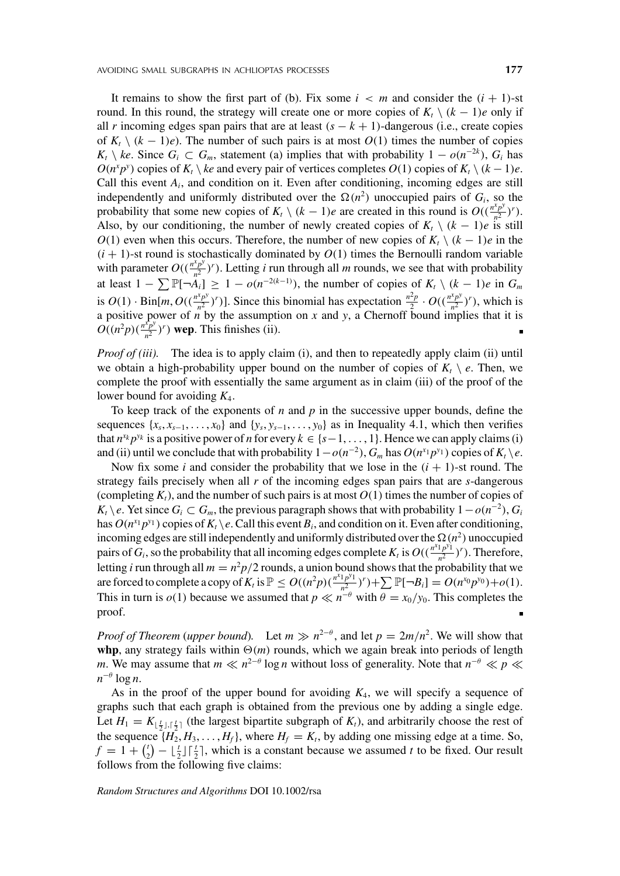It remains to show the first part of (b). Fix some  $i < m$  and consider the  $(i + 1)$ -st round. In this round, the strategy will create one or more copies of  $K_t \setminus (k-1)e$  only if all *r* incoming edges span pairs that are at least  $(s - k + 1)$ -dangerous (i.e., create copies of  $K_t \setminus (k-1)e$ . The number of such pairs is at most  $O(1)$  times the number of copies *K<sub>t</sub>* \ *ke*. Since *G<sub>i</sub>* ⊂ *G<sub>m</sub>*, statement (a) implies that with probability  $1 - o(n^{-2k})$ , *G<sub>i</sub>* has  $O(n^x p^y)$  copies of  $K_t \setminus ke$  and every pair of vertices completes  $O(1)$  copies of  $K_t \setminus (k-1)e$ . Call this event  $A_i$ , and condition on it. Even after conditioning, incoming edges are still independently and uniformly distributed over the  $\Omega(n^2)$  unoccupied pairs of  $G_i$ , so the probability that some new copies of  $K_t \setminus (k-1)e$  are created in this round is  $O((\frac{n^x p^y}{n^2})^r)$ . Also, by our conditioning, the number of newly created copies of  $K_t \setminus (k-1)e$  is still *O*(1) even when this occurs. Therefore, the number of new copies of  $K_t \ (k-1)e$  in the  $(i + 1)$ -st round is stochastically dominated by  $O(1)$  times the Bernoulli random variable with parameter  $O((\frac{n^x p^y}{n^2})^r)$ . Letting *i* run through all *m* rounds, we see that with probability at least  $1 - \sum \mathbb{P}[\neg A_i] \ge 1 - o(n^{-2(k-1)})$ , the number of copies of  $K_t \setminus (k-1)e$  in  $G_m$ is  $O(1) \cdot \text{Bin}[m, O((\frac{n^x p^y}{n^2})^r)]$ . Since this binomial has expectation  $\frac{n^2 p}{2} \cdot O((\frac{n^x p^y}{n^2})^r)$ , which is a positive power of *n* by the assumption on *x* and *y*, a Chernoff bound implies that it is  $O((n^2p)(\frac{n^2p^y}{n^2})^r)$  wep. This finishes (ii).

*Proof of (iii).* The idea is to apply claim (i), and then to repeatedly apply claim (ii) until we obtain a high-probability upper bound on the number of copies of  $K_t \setminus e$ . Then, we complete the proof with essentially the same argument as in claim (iii) of the proof of the lower bound for avoiding *K*4.

To keep track of the exponents of *n* and *p* in the successive upper bounds, define the sequences  $\{x_s, x_{s-1}, \ldots, x_0\}$  and  $\{y_s, y_{s-1}, \ldots, y_0\}$  as in Inequality 4.1, which then verifies that  $n^{x_k} p^{y_k}$  is a positive power of *n* for every  $k \in \{s-1, \ldots, 1\}$ . Hence we can apply claims (i) and (ii) until we conclude that with probability  $1-o(n^{-2})$ ,  $G_m$  has  $O(n^{x_1}p^{y_1})$  copies of  $K_t \backslash e$ .

Now fix some *i* and consider the probability that we lose in the  $(i + 1)$ -st round. The strategy fails precisely when all *r* of the incoming edges span pairs that are *s*-dangerous (completing  $K_t$ ), and the number of such pairs is at most  $O(1)$  times the number of copies of *K<sub>t</sub>*  $\setminus$  *e*. Yet since *G<sub>i</sub>* ⊂ *G<sub>m</sub>*, the previous paragraph shows that with probability 1 − *o*(*n*<sup>−2</sup>), *G<sub>i</sub>* has  $O(n^{x_1}p^{y_1})$  copies of  $K_t \backslash e$ . Call this event  $B_i$ , and condition on it. Even after conditioning, incoming edges are still independently and uniformly distributed over the  $\Omega(n^2)$  unoccupied pairs of  $G_i$ , so the probability that all incoming edges complete  $K_t$  is  $O((\frac{n^{x_1}p^{y_1}}{n^2})^r)$ . Therefore, letting *i* run through all  $m = n^2 p/2$  rounds, a union bound shows that the probability that we are forced to complete a copy of  $K_t$  is  $\mathbb{P} \leq O((n^2p)(\frac{n^{x_1}p^{y_1}}{n^2})^r)+\sum \mathbb{P}[-B_t] = O(n^{x_0}p^{y_0})+o(1)$ . This in turn is  $o(1)$  because we assumed that  $p \ll n^{-\theta}$  with  $\theta = x_0/y_0$ . This completes the proof.

*Proof of Theorem* (*upper bound*). Let  $m \gg n^{2-\theta}$ , and let  $p = 2m/n^2$ . We will show that **whp**, any strategy fails within  $\Theta(m)$  rounds, which we again break into periods of length *m*. We may assume that  $m \ll n^{2-\theta} \log n$  without loss of generality. Note that  $n^{-\theta} \ll p \ll$  $n^{-\theta}$  log *n*.

As in the proof of the upper bound for avoiding  $K_4$ , we will specify a sequence of graphs such that each graph is obtained from the previous one by adding a single edge. Let  $H_1 = K_{\lfloor \frac{t}{2} \rfloor, \lceil \frac{t}{2} \rceil}$  (the largest bipartite subgraph of  $K_t$ ), and arbitrarily choose the rest of the sequence  $\{H_2, H_3, \ldots, H_f\}$ , where  $H_f = K_t$ , by adding one missing edge at a time. So,  $f = 1 + {t \choose 2} - \lfloor \frac{t}{2} \rfloor \lceil \frac{t}{2} \rceil$ , which is a constant because we assumed *t* to be fixed. Our result follows from the following five claims: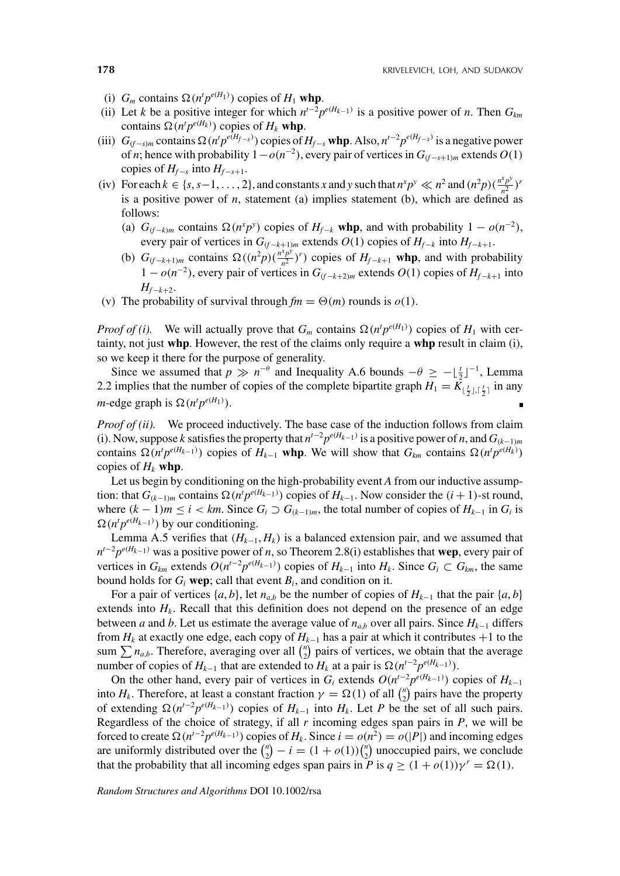- (i)  $G_m$  contains  $\Omega(n^t p^{e(H_1)})$  copies of  $H_1$  whp.
- (ii) Let *k* be a positive integer for which  $n^{t-2}p^{e(H_{k-1})}$  is a positive power of *n*. Then  $G_{km}$ contains  $\Omega(n^t p^{e(H_k)})$  copies of  $H_k$  whp.
- (iii)  $G_{(f-s)m}$  contains  $\Omega(n^t p^{e(H_{f-s})})$  copies of  $H_{f-s}$  whp. Also,  $n^{t-2} p^{e(H_{f-s})}$  is a negative power of *n*; hence with probability  $1 - o(n^{-2})$ , every pair of vertices in  $G_{(f-s+1)m}$  extends  $O(1)$ copies of  $H_{f-s}$  into  $H_{f-s+1}$ .
- (iv) For each  $k \in \{s, s-1, \ldots, 2\}$ , and constants x and y such that  $n^x p^y \ll n^2$  and  $(n^2 p) (\frac{n^x p^y}{n^2})^r$ is a positive power of *n*, statement (a) implies statement (b), which are defined as follows:
	- (a)  $G_{(f-k)m}$  contains  $\Omega(n^x p^y)$  copies of  $H_{f-k}$  **whp**, and with probability  $1 o(n^{-2})$ , every pair of vertices in  $G_{(f-k+1)m}$  extends  $O(1)$  copies of  $H_{f-k}$  into  $H_{f-k+1}$ .
	- (b)  $G_{(f-k+1)m}$  contains  $\Omega((n^2p)(\frac{n^2p^2}{n^2})^r)$  copies of  $H_{f-k+1}$  whp, and with probability 1 −  $o(n^{-2})$ , every pair of vertices in  $G$ <sub>(*f* − *k*+2)*m* extends  $O(1)$  copies of  $H$ <sub>*f* − *k*+1</sub> into</sub>  $H_{f-k+2}$ .
- (v) The probability of survival through  $fm = \Theta(m)$  rounds is  $o(1)$ .

*Proof of (i).* We will actually prove that  $G_m$  contains  $\Omega(n^t p^{e(H_1)})$  copies of  $H_1$  with certainty, not just **whp**. However, the rest of the claims only require a **whp** result in claim (i), so we keep it there for the purpose of generality.

Since we assumed that  $p \gg n^{-\theta}$  and Inequality A.6 bounds  $-\theta \ge -\lfloor \frac{t}{2} \rfloor^{-1}$ , Lemma 2.2 implies that the number of copies of the complete bipartite graph  $H_1 = K_{\lfloor \frac{t}{2} \rfloor, \lceil \frac{t}{2} \rceil}$  in any *m*-edge graph is  $\Omega(n^t p^{e(H_1)})$ .

*Proof of (ii).* We proceed inductively. The base case of the induction follows from claim (i). Now, suppose *k* satisfies the property that  $n^{t-2}p^{e(H_{k-1})}$  is a positive power of *n*, and  $G_{(k-1)m}$ contains  $\Omega(n^t p^{e(H_{k-1})})$  copies of  $H_{k-1}$  whp. We will show that  $G_{km}$  contains  $\Omega(n^t p^{e(H_k)})$ copies of  $H_k$  **whp**.

Let us begin by conditioning on the high-probability event *A* from our inductive assumption: that  $G_{(k-1)m}$  contains  $\Omega(n^t p^{e(H_{k-1})})$  copies of  $H_{k-1}$ . Now consider the  $(i + 1)$ -st round, where  $(k - 1)m \le i < km$ . Since  $G_i$  ⊃  $G_{(k-1)m}$ , the total number of copies of  $H_{k-1}$  in  $G_i$  is  $\Omega(n^t p^{e(H_{k-1})})$  by our conditioning.

Lemma A.5 verifies that  $(H_{k-1}, H_k)$  is a balanced extension pair, and we assumed that  $n^{t-2}p^{e(H_{k-1})}$  was a positive power of *n*, so Theorem 2.8(i) establishes that **wep**, every pair of vertices in  $G_{km}$  extends  $O(n^{t-2}p^{e(H_{k-1})})$  copies of  $H_{k-1}$  into  $H_k$ . Since  $G_i \subset G_{km}$ , the same bound holds for  $G_i$  **wep**; call that event  $B_i$ , and condition on it.

For a pair of vertices  $\{a, b\}$ , let  $n_{a,b}$  be the number of copies of  $H_{k-1}$  that the pair  $\{a, b\}$ extends into  $H_k$ . Recall that this definition does not depend on the presence of an edge between *a* and *b*. Let us estimate the average value of  $n_{a,b}$  over all pairs. Since  $H_{k-1}$  differs from  $H_k$  at exactly one edge, each copy of  $H_{k-1}$  has a pair at which it contributes +1 to the sum  $\sum n_{a,b}$ . Therefore, averaging over all  $\binom{n}{2}$  pairs of vertices, we obtain that the average number of copies of  $H_{k-1}$  that are extended to  $H_k$  at a pair is  $\Omega(n^{t-2}p^{e(H_{k-1})})$ .

On the other hand, every pair of vertices in  $G_i$  extends  $O(n^{t-2}p^{e(H_{k-1})})$  copies of  $H_{k-1}$ into *H<sub>k</sub>*. Therefore, at least a constant fraction  $\gamma = \Omega(1)$  of all  $\binom{n}{2}$  pairs have the property of extending  $\Omega(n^{t-2}p^{e(H_{k-1})})$  copies of  $H_{k-1}$  into  $H_k$ . Let *P* be the set of all such pairs. Regardless of the choice of strategy, if all *r* incoming edges span pairs in *P*, we will be forced to create  $\Omega(n^{t-2}p^{e(H_{k-1})})$  copies of  $H_k$ . Since  $i = o(n^2) = o(|P|)$  and incoming edges are uniformly distributed over the  $\binom{n}{2} - i = (1 + o(1))\binom{n}{2}$  unoccupied pairs, we conclude that the probability that all incoming edges span pairs in *P* is  $q \ge (1 + o(1))\gamma^r = \Omega(1)$ .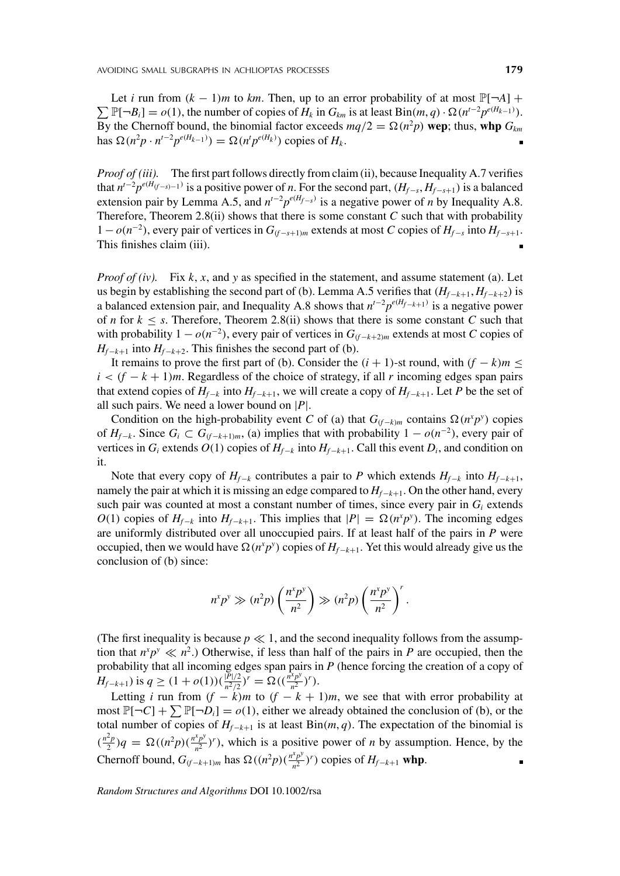$\sum \mathbb{P}[\neg B_i] = o(1)$ , the number of copies of  $H_k$  in  $G_{km}$  is at least  $\text{Bin}(m, q) \cdot \Omega(n^{t-2}p^{e(H_{k-1})})$ . Let *i* run from  $(k - 1)m$  to *km*. Then, up to an error probability of at most  $\mathbb{P}[\neg A]$  + By the Chernoff bound, the binomial factor exceeds  $mq/2 = \Omega(n^2p)$  wep; thus, whp  $G_{km}$  $\text{ has } Ω(n^2p \cdot n^{t-2}p^{e(H_{k-1})}) = Ω(n^t p^{e(H_k)}) \text{ copies of } H_k.$ 

*Proof of (iii).* The first part follows directly from claim (ii), because Inequality A.7 verifies that  $n^{t-2}p^{e(H_{(f-s)-1})}$  is a positive power of *n*. For the second part,  $(H_{f-s}, H_{f-s+1})$  is a balanced extension pair by Lemma A.5, and  $n^{t-2}p^{e(H_{f-s})}$  is a negative power of *n* by Inequality A.8. Therefore, Theorem 2.8(ii) shows that there is some constant *C* such that with probability 1 −  $o(n^{-2})$ , every pair of vertices in  $G$ <sub>(*f*-*s*+1)*m*</sub> extends at most *C* copies of  $H$ <sub>*f*-*s*</sub> into  $H$ <sub>*f*-*s*+1</sub>. This finishes claim (iii).

*Proof of (iv).* Fix *k*, *x*, and *y* as specified in the statement, and assume statement (a). Let us begin by establishing the second part of (b). Lemma A.5 verifies that  $(H_{f-k+1}, H_{f-k+2})$  is a balanced extension pair, and Inequality A.8 shows that  $n^{t-2}p^{e(H_f-k+1)}$  is a negative power of *n* for  $k \leq s$ . Therefore, Theorem 2.8(ii) shows that there is some constant *C* such that with probability  $1 - o(n^{-2})$ , every pair of vertices in  $G_{(f-k+2)m}$  extends at most *C* copies of  $H_{f-k+1}$  into  $H_{f-k+2}$ . This finishes the second part of (b).

It remains to prove the first part of (b). Consider the *(i* + 1*)*-st round, with *(f* − *k)m* ≤  $i < (f - k + 1)m$ . Regardless of the choice of strategy, if all *r* incoming edges span pairs that extend copies of  $H_{f-k}$  into  $H_{f-k+1}$ , we will create a copy of  $H_{f-k+1}$ . Let *P* be the set of all such pairs. We need a lower bound on |*P*|.

Condition on the high-probability event *C* of (a) that  $G_{(f-k)m}$  contains  $\Omega(n^x p^y)$  copies of *H*<sub>*f*−*k*</sub>. Since *G*<sub>*i*</sub> ⊂ *G*<sub>(*f*−*k*+1)*m*</sub>, (a) implies that with probability 1 − *o*(*n*<sup>−2</sup>), every pair of vertices in  $G_i$  extends  $O(1)$  copies of  $H_{f-k}$  into  $H_{f-k+1}$ . Call this event  $D_i$ , and condition on it.

Note that every copy of  $H_{f-k}$  contributes a pair to *P* which extends  $H_{f-k}$  into  $H_{f-k+1}$ , namely the pair at which it is missing an edge compared to  $H_{f-k+1}$ . On the other hand, every such pair was counted at most a constant number of times, since every pair in  $G_i$  extends *O*(1) copies of  $H_{f-k}$  into  $H_{f-k+1}$ . This implies that  $|P| = \Omega(n^x p^y)$ . The incoming edges are uniformly distributed over all unoccupied pairs. If at least half of the pairs in *P* were occupied, then we would have  $\Omega(n^x p^y)$  copies of  $H_{f-k+1}$ . Yet this would already give us the conclusion of (b) since:

$$
n^x p^y \gg (n^2 p) \left(\frac{n^x p^y}{n^2}\right) \gg (n^2 p) \left(\frac{n^x p^y}{n^2}\right)^r.
$$

(The first inequality is because  $p \ll 1$ , and the second inequality follows from the assumption that  $n^x p^y \ll n^2$ .) Otherwise, if less than half of the pairs in *P* are occupied, then the probability that all incoming edges span pairs in *P* (hence forcing the creation of a copy of  $H_{f-k+1}$ ) is  $q \geq (1+o(1))(\frac{|P|/2}{n^2/2})^r = \Omega((\frac{n^x p^y}{n^2})^r).$ 

Letting *i* run from  $(f - k)m$  to  $(f - k + 1)m$ , we see that with error probability at most  $\mathbb{P}[\neg C] + \sum \mathbb{P}[\neg D_i] = o(1)$ , either we already obtained the conclusion of (b), or the total number of copies of  $H_{f-k+1}$  is at least  $Bin(m, q)$ . The expectation of the binomial is  $(\frac{n^2p}{2})q = \Omega((n^2p)(\frac{n^2p}{n^2})^r)$ , which is a positive power of *n* by assumption. Hence, by the Chernoff bound,  $G_{(f-k+1)m}$  has  $\Omega((n^2p)(\frac{n^x p^y}{n^2})^r)$  copies of  $H_{f-k+1}$  whp.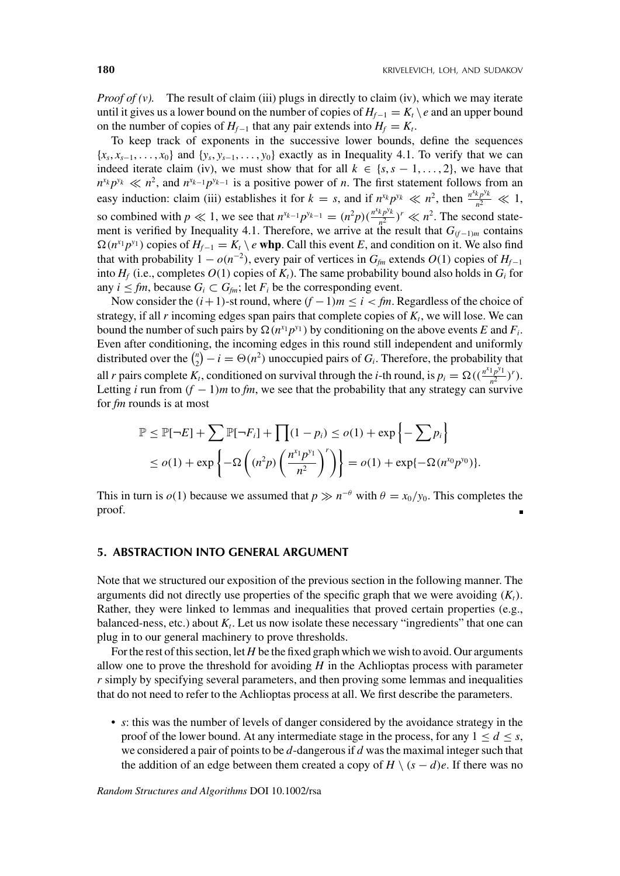*Proof of (v).* The result of claim (iii) plugs in directly to claim (iv), which we may iterate until it gives us a lower bound on the number of copies of  $H_{f-1} = K_t \setminus e$  and an upper bound on the number of copies of  $H_{f-1}$  that any pair extends into  $H_f = K_i$ .

To keep track of exponents in the successive lower bounds, define the sequences  ${x<sub>s</sub>, x<sub>s-1</sub>, ..., x<sub>0</sub>}$  and  ${y<sub>s</sub>, y<sub>s-1</sub>, ..., y<sub>0</sub>}$  exactly as in Inequality 4.1. To verify that we can indeed iterate claim (iv), we must show that for all  $k \in \{s, s - 1, \ldots, 2\}$ , we have that  $n^{x_k} p^{y_k} \ll n^2$ , and  $n^{x_{k-1}} p^{y_{k-1}}$  is a positive power of *n*. The first statement follows from an easy induction: claim (iii) establishes it for  $k = s$ , and if  $n^{x_k} p^{y_k} \ll n^2$ , then  $\frac{n^{x_k} p^{y_k}}{n^2} \ll 1$ , so combined with *p*  $\ll 1$ , we see that  $n^{x_{k-1}}p^{y_{k-1}} = (n^2p)(\frac{n^{x_k}p^{y_k}}{n^2})^r \ll n^2$ . The second statement is verified by Inequality 4.1. Therefore, we arrive at the result that  $G_{(f-1)m}$  contains  $\Omega(n^{x_1} p^{y_1})$  copies of *H<sub>f−1</sub>* = *K<sub>t</sub>* \ *e* **whp**. Call this event *E*, and condition on it. We also find that with probability  $1 - o(n^{-2})$ , every pair of vertices in  $G_{\ell m}$  extends  $O(1)$  copies of  $H_{\ell-1}$ into  $H_f$  (i.e., completes  $O(1)$  copies of  $K_t$ ). The same probability bound also holds in  $G_i$  for any  $i \leq fm$ , because  $G_i \subset G_{fin}$ ; let  $F_i$  be the corresponding event.

Now consider the  $(i+1)$ -st round, where  $(f-1)m \le i < fm$ . Regardless of the choice of strategy, if all  $r$  incoming edges span pairs that complete copies of  $K_t$ , we will lose. We can bound the number of such pairs by  $\Omega(n^{x_1}p^{y_1})$  by conditioning on the above events *E* and  $F_i$ . Even after conditioning, the incoming edges in this round still independent and uniformly distributed over the  $\binom{n}{2} - i = \Theta(n^2)$  unoccupied pairs of  $G_i$ . Therefore, the probability that all *r* pairs complete  $K_t$ , conditioned on survival through the *i*-th round, is  $p_i = \Omega\left(\frac{n^{x_1}p^{y_1}}{n^2}\right)^r$ . Letting *i* run from  $(f - 1)m$  to *fm*, we see that the probability that any strategy can survive for *fm* rounds is at most

$$
\mathbb{P} \leq \mathbb{P}[\neg E] + \sum \mathbb{P}[\neg F_i] + \prod (1 - p_i) \leq o(1) + \exp\left\{-\sum p_i\right\}
$$
  
\n
$$
\leq o(1) + \exp\left\{-\Omega\left((n^2p)\left(\frac{n^{x_1}p^{y_1}}{n^2}\right)^r\right)\right\} = o(1) + \exp\{-\Omega(n^{x_0}p^{y_0})\}.
$$

This in turn is  $o(1)$  because we assumed that  $p \gg n^{-\theta}$  with  $\theta = x_0/y_0$ . This completes the proof.

## **5. ABSTRACTION INTO GENERAL ARGUMENT**

Note that we structured our exposition of the previous section in the following manner. The arguments did not directly use properties of the specific graph that we were avoiding  $(K_t)$ . Rather, they were linked to lemmas and inequalities that proved certain properties (e.g., balanced-ness, etc.) about  $K_t$ . Let us now isolate these necessary "ingredients" that one can plug in to our general machinery to prove thresholds.

For the rest of this section, let *H* be the fixed graph which we wish to avoid. Our arguments allow one to prove the threshold for avoiding  $H$  in the Achlioptas process with parameter *r* simply by specifying several parameters, and then proving some lemmas and inequalities that do not need to refer to the Achlioptas process at all. We first describe the parameters.

• *s*: this was the number of levels of danger considered by the avoidance strategy in the proof of the lower bound. At any intermediate stage in the process, for any  $1 \le d \le s$ , we considered a pair of points to be *d*-dangerous if *d* was the maximal integer such that the addition of an edge between them created a copy of  $H \setminus (s - d)e$ . If there was no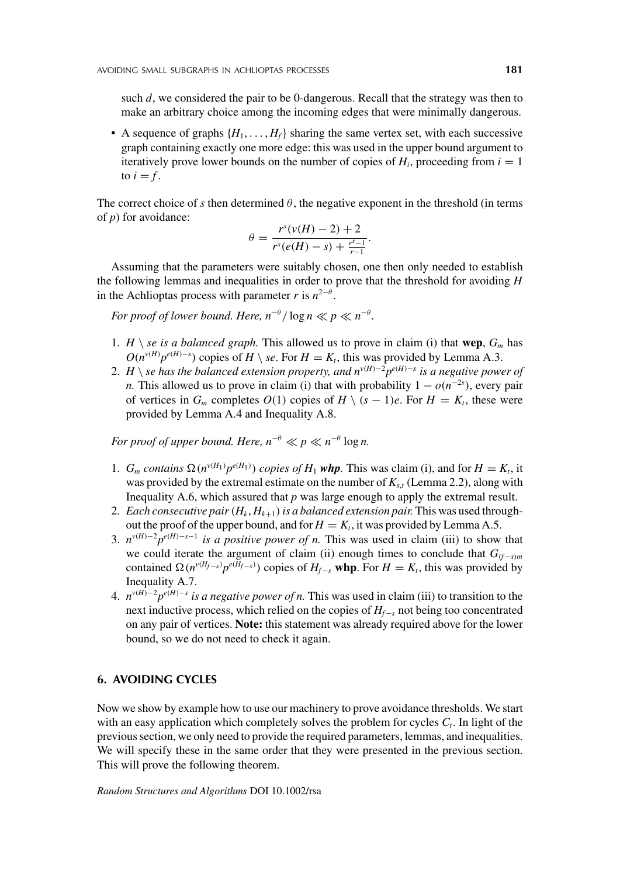such *d*, we considered the pair to be 0-dangerous. Recall that the strategy was then to make an arbitrary choice among the incoming edges that were minimally dangerous.

• A sequence of graphs  $\{H_1, \ldots, H_f\}$  sharing the same vertex set, with each successive graph containing exactly one more edge: this was used in the upper bound argument to iteratively prove lower bounds on the number of copies of  $H_i$ , proceeding from  $i = 1$ to  $i = f$ .

The correct choice of *s* then determined  $\theta$ , the negative exponent in the threshold (in terms of *p*) for avoidance:

$$
\theta = \frac{r^{s}(v(H) - 2) + 2}{r^{s}(e(H) - s) + \frac{r^{s} - 1}{r - 1}}.
$$

Assuming that the parameters were suitably chosen, one then only needed to establish the following lemmas and inequalities in order to prove that the threshold for avoiding *H* in the Achlioptas process with parameter *r* is  $n^{2-\theta}$ .

*For proof of lower bound. Here, n<sup>-* $\theta$ *</sup>/ log <i>n*  $\ll p \ll n^{-\theta}$ .

- 1. *H* \ *se is a balanced graph*. This allowed us to prove in claim (i) that **wep**,  $G_m$  has  $O(n^{v(H)}p^{e(H)-s})$  copies of  $H \setminus se$ . For  $H = K_t$ , this was provided by Lemma A.3.
- 2. *H*  $\setminus$  *se has the balanced extension property, and*  $n^{\nu(H)-2}p^{e(H)-s}$  *<i>is a negative power of n*. This allowed us to prove in claim (i) that with probability  $1 - o(n^{-2s})$ , every pair of vertices in  $G_m$  completes  $O(1)$  copies of  $H \setminus (s - 1)e$ . For  $H = K_t$ , these were provided by Lemma A.4 and Inequality A.8.

*For proof of upper bound. Here,*  $n^{-\theta} \ll p \ll n^{-\theta} \log n$ .

- 1. *G<sub>m</sub>* contains  $\Omega(n^{\nu(H_1)}p^{e(H_1)})$  copies of  $H_1$  **whp**. This was claim (i), and for  $H = K_t$ , it was provided by the extremal estimate on the number of  $K_{s,t}$  (Lemma 2.2), along with Inequality A.6, which assured that *p* was large enough to apply the extremal result.
- 2. *Each consecutive pair*  $(H_k, H_{k+1})$  *is a balanced extension pair.* This was used throughout the proof of the upper bound, and for  $H = K_t$ , it was provided by Lemma A.5.
- 3.  $n^{v(H)-2}p^{e(H)-s-1}$  *is a positive power of n*. This was used in claim (iii) to show that we could iterate the argument of claim (ii) enough times to conclude that  $G_{(f-s)m}$ contained  $\Omega(n^{\nu(H_{f-s})}p^{e(H_{f-s})})$  copies of  $H_{f-s}$  whp. For  $H = K_t$ , this was provided by Inequality A.7.
- 4.  $n^{v(H)-2}p^{e(H)-s}$  *is a negative power of n*. This was used in claim (iii) to transition to the next inductive process, which relied on the copies of *H*<sub>f→</sub> not being too concentrated on any pair of vertices. **Note:** this statement was already required above for the lower bound, so we do not need to check it again.

## **6. AVOIDING CYCLES**

Now we show by example how to use our machinery to prove avoidance thresholds. We start with an easy application which completely solves the problem for cycles  $C_t$ . In light of the previous section, we only need to provide the required parameters, lemmas, and inequalities. We will specify these in the same order that they were presented in the previous section. This will prove the following theorem.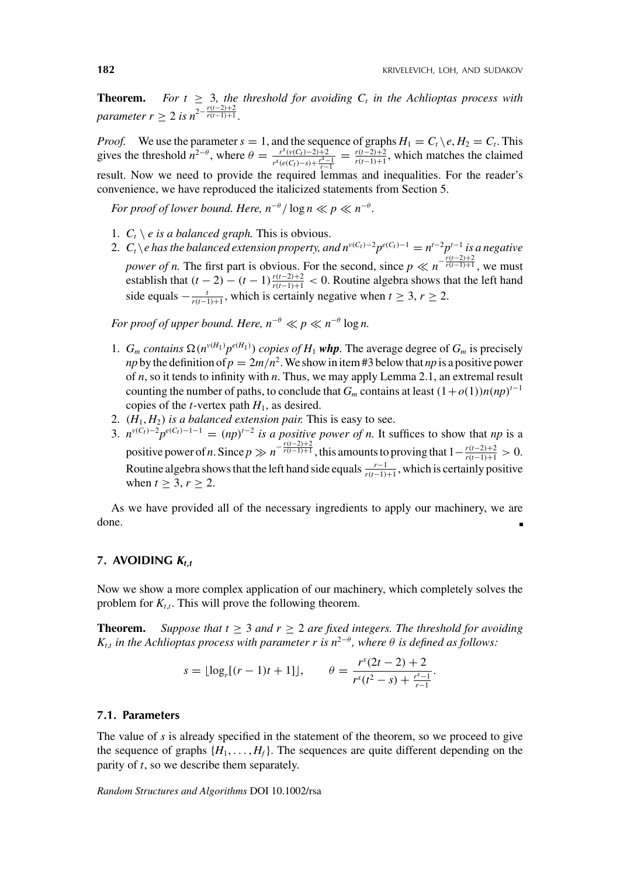**Theorem.** *For t*  $\geq$  3*, the threshold for avoiding C<sub>t</sub> in the Achlioptas process with parameter r*  $\geq 2$  *is*  $n^{2-\frac{r(t-2)+2}{r(t-1)+1}}$ .

*Proof.* We use the parameter  $s = 1$ , and the sequence of graphs  $H_1 = C_t \setminus e, H_2 = C_t$ . This gives the threshold  $n^{2-\theta}$ , where  $\theta = \frac{r^s(v(C_l)-2)+2}{r^s(e(C_l)-s)+\frac{r^s-1}{r-1}} = \frac{r(t-2)+2}{r(t-1)+1}$ , which matches the claimed result. Now we need to provide the required lemmas and inequalities. For the reader's convenience, we have reproduced the italicized statements from Section 5.

*For proof of lower bound. Here, n<sup>-* $\theta$ *</sup>/* $\log n \ll p \ll n^{-\theta}$ *.* 

- 1.  $C_t \setminus e$  *is a balanced graph*. This is obvious.
- 2. *C<sub>t</sub>* \*e* has the balanced extension property, and  $n^{v(C_t)-2}p^{e(C_t)-1} = n^{t-2}p^{t-1}$  is a negative *power of n*. The first part is obvious. For the second, since  $p \ll n^{-\frac{r(t-2)+2}{r(t-1)+1}}$ , we must establish that  $(t-2) - (t-1) \frac{r(t-2)+2}{r(t-1)+1} < 0$ . Routine algebra shows that the left hand side equals  $-\frac{t}{r(t-1)+1}$ , which is certainly negative when  $t \geq 3$ ,  $r \geq 2$ .

*For proof of upper bound. Here,*  $n^{-\theta} \ll p \ll n^{-\theta} \log n$ .

- 1. *G<sub>m</sub>* contains  $\Omega(n^{\nu(H_1)}p^{e(H_1)})$  copies of  $H_1$  **whp**. The average degree of  $G_m$  is precisely *np* by the definition of  $p = 2m/n^2$ . We show in item #3 below that *np* is a positive power of *n*, so it tends to infinity with *n*. Thus, we may apply Lemma 2.1, an extremal result counting the number of paths, to conclude that  $G_m$  contains at least  $(1+o(1))n(np)^{t-1}$ copies of the *t*-vertex path  $H_1$ , as desired.
- 2.  $(H_1, H_2)$  *is a balanced extension pair.* This is easy to see.
- 3.  $n^{v(C_t)-2}p^{e(C_t)-1-1} = (np)^{t-2}$  *is a positive power of n*. It suffices to show that *np* is a positive power of *n*. Since  $p \gg n^{-\frac{r(t-2)+2}{r(t-1)+1}}$ , this amounts to proving that  $1-\frac{r(t-2)+2}{r(t-1)+1} > 0$ . Routine algebra shows that the left hand side equals  $\frac{r-1}{r(r-1)+1}$ , which is certainly positive when  $t \geq 3$ ,  $r \geq 2$ .

As we have provided all of the necessary ingredients to apply our machinery, we are done.

# **7. AVOIDING**  $K_{t,t}$

Now we show a more complex application of our machinery, which completely solves the problem for  $K_{t,t}$ . This will prove the following theorem.

**Theorem.** *Suppose that*  $t \geq 3$  *and*  $r \geq 2$  *are fixed integers. The threshold for avoiding K*<sub>t,t</sub> in the Achlioptas process with parameter r is  $n^{2-\theta}$ , where  $\theta$  is defined as follows:

$$
s = \lfloor \log_r[(r-1)t+1] \rfloor, \qquad \theta = \frac{r^s(2t-2)+2}{r^s(t^2-s)+\frac{r^s-1}{r-1}}.
$$

## **7.1. Parameters**

The value of *s* is already specified in the statement of the theorem, so we proceed to give the sequence of graphs  $\{H_1, \ldots, H_f\}$ . The sequences are quite different depending on the parity of *t*, so we describe them separately.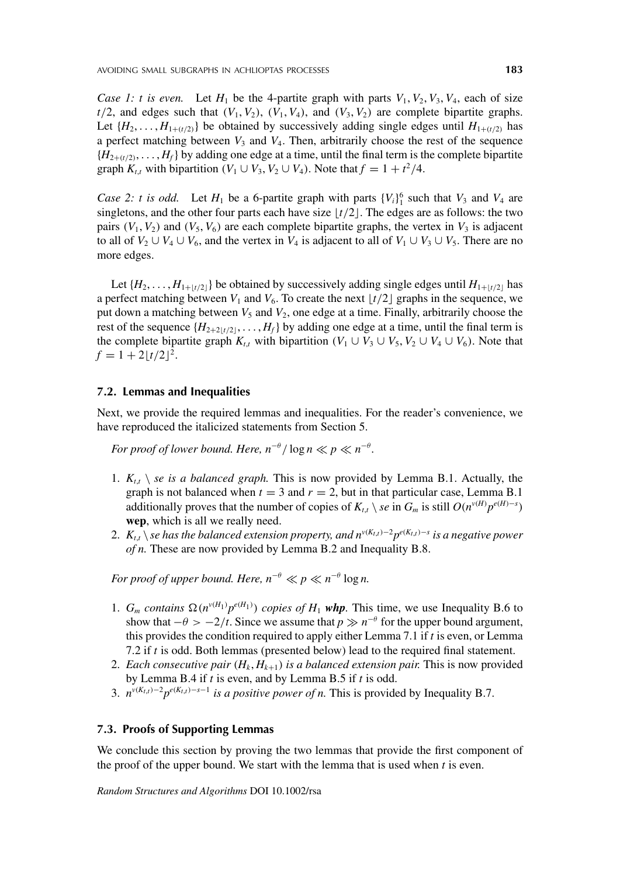*Case 1: t is even.* Let  $H_1$  be the 4-partite graph with parts  $V_1, V_2, V_3, V_4$ , each of size  $t/2$ , and edges such that  $(V_1, V_2)$ ,  $(V_1, V_4)$ , and  $(V_3, V_2)$  are complete bipartite graphs. Let  $\{H_2, \ldots, H_{1+(t/2)}\}$  be obtained by successively adding single edges until  $H_{1+(t/2)}$  has a perfect matching between  $V_3$  and  $V_4$ . Then, arbitrarily choose the rest of the sequence  ${H_{2+(t/2)}, \ldots, H_f}$  by adding one edge at a time, until the final term is the complete bipartite graph  $K_{t,t}$  with bipartition  $(V_1 \cup V_3, V_2 \cup V_4)$ . Note that  $f = 1 + t^2/4$ .

*Case 2: t is odd.* Let  $H_1$  be a 6-partite graph with parts  $\{V_i\}_1^6$  such that  $V_3$  and  $V_4$  are singletons, and the other four parts each have size  $\lfloor t/2 \rfloor$ . The edges are as follows: the two pairs  $(V_1, V_2)$  and  $(V_5, V_6)$  are each complete bipartite graphs, the vertex in  $V_3$  is adjacent to all of  $V_2 \cup V_4 \cup V_6$ , and the vertex in  $V_4$  is adjacent to all of  $V_1 \cup V_3 \cup V_5$ . There are no more edges.

Let  $\{H_2, \ldots, H_{1+\lfloor t/2 \rfloor}\}\$  be obtained by successively adding single edges until  $H_{1+\lfloor t/2 \rfloor}\$  has a perfect matching between  $V_1$  and  $V_6$ . To create the next  $|t/2|$  graphs in the sequence, we put down a matching between  $V_5$  and  $V_2$ , one edge at a time. Finally, arbitrarily choose the rest of the sequence  $\{H_{2+2|t/2|}, \ldots, H_f\}$  by adding one edge at a time, until the final term is the complete bipartite graph  $K_{t,t}$  with bipartition  $(V_1 \cup V_3 \cup V_5, V_2 \cup V_4 \cup V_6)$ . Note that  $f = 1 + 2\lfloor t/2 \rfloor^2$ .

## **7.2. Lemmas and Inequalities**

Next, we provide the required lemmas and inequalities. For the reader's convenience, we have reproduced the italicized statements from Section 5.

*For proof of lower bound. Here, n<sup>-* $\theta$ *</sup>/* $\log n \ll p \ll n^{-\theta}$ *.* 

- 1.  $K_{t,t}$   $\setminus$  *se is a balanced graph*. This is now provided by Lemma B.1. Actually, the graph is not balanced when  $t = 3$  and  $r = 2$ , but in that particular case, Lemma B.1 additionally proves that the number of copies of  $K_{t,t} \setminus se$  in  $G_m$  is still  $O(n^{v(H)}p^{e(H)-s})$ **wep**, which is all we really need.
- 2. *K*<sub>t,t</sub> \ *se has the balanced extension property, and*  $n^{v(K_{t,t})-2}p^{e(K_{t,t})-s}$  *is a negative power of n.* These are now provided by Lemma B.2 and Inequality B.8.

*For proof of upper bound. Here,*  $n^{-\theta} \ll p \ll n^{-\theta} \log n$ .

- 1.  $G_m$  *contains*  $\Omega(n^{\nu(H_1)}p^{e(H_1)})$  *copies of*  $H_1$  *whp*. This time, we use Inequality B.6 to show that  $-\theta > -2/t$ . Since we assume that  $p \gg n^{-\theta}$  for the upper bound argument, this provides the condition required to apply either Lemma 7.1 if *t* is even, or Lemma 7.2 if *t* is odd. Both lemmas (presented below) lead to the required final statement.
- 2. *Each consecutive pair*  $(H_k, H_{k+1})$  *is a balanced extension pair.* This is now provided by Lemma B.4 if *t* is even, and by Lemma B.5 if *t* is odd.
- 3.  $n^{v(K_{t,t})-2}p^{e(K_{t,t})-s-1}$  *is a positive power of n*. This is provided by Inequality B.7.

### **7.3. Proofs of Supporting Lemmas**

We conclude this section by proving the two lemmas that provide the first component of the proof of the upper bound. We start with the lemma that is used when *t* is even.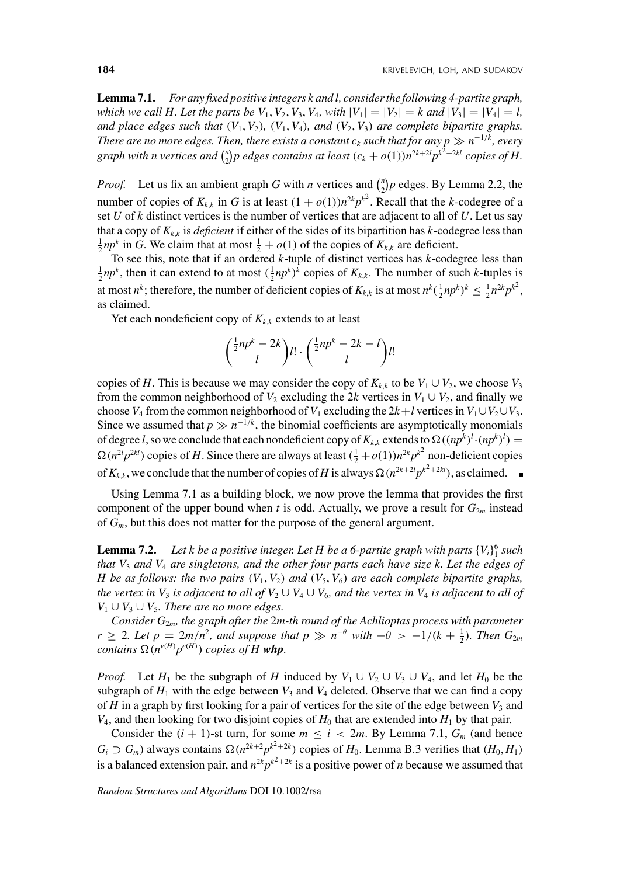**Lemma 7.1.** *For any fixed positive integers k and l, consider the following 4-partite graph, which we call H. Let the parts be*  $V_1, V_2, V_3, V_4$ *, with*  $|V_1| = |V_2| = k$  *and*  $|V_3| = |V_4| = l$ , *and place edges such that*  $(V_1, V_2)$ *,*  $(V_1, V_4)$ *, and*  $(V_2, V_3)$  *are complete bipartite graphs. There are no more edges. Then, there exists a constant*  $c_k$  *such that for any*  $p \gg n^{-1/k}$ *, every graph with n vertices and*  $\binom{n}{2}$ *p edges contains at least*  $(c_k + o(1))n^{2k+2l}p^{k^2+2kl}$  *copies of H.* 

*Proof.* Let us fix an ambient graph *G* with *n* vertices and  $\binom{n}{2}p$  edges. By Lemma 2.2, the number of copies of  $K_{k,k}$  in *G* is at least  $(1 + o(1))n^{2k}p^{k^2}$ . Recall that the *k*-codegree of a set *U* of *k* distinct vertices is the number of vertices that are adjacent to all of *U*. Let us say that a copy of  $K_{k,k}$  is *deficient* if either of the sides of its bipartition has  $k$ -codegree less than  $\frac{1}{2}$ *np*<sup>*k*</sup> in *G*. We claim that at most  $\frac{1}{2} + o(1)$  of the copies of  $K_{k,k}$  are deficient.

To see this, note that if an ordered *k*-tuple of distinct vertices has *k*-codegree less than  $\frac{1}{2}np^k$ , then it can extend to at most  $(\frac{1}{2}np^k)^k$  copies of  $K_{k,k}$ . The number of such *k*-tuples is at most  $n^k$ ; therefore, the number of deficient copies of  $K_{k,k}$  is at most  $n^k(\frac{1}{2}np^k)^k \leq \frac{1}{2}n^{2k}p^{k^2}$ , as claimed.

Yet each nondeficient copy of  $K_{kk}$  extends to at least

$$
\binom{\frac{1}{2}np^k - 2k}{l}l! \cdot \binom{\frac{1}{2}np^k - 2k - l}{l}l!
$$

copies of *H*. This is because we may consider the copy of  $K_{k,k}$  to be  $V_1 \cup V_2$ , we choose  $V_3$ from the common neighborhood of  $V_2$  excluding the 2*k* vertices in  $V_1 \cup V_2$ , and finally we choose *V*<sub>4</sub> from the common neighborhood of *V*<sub>1</sub> excluding the 2*k*+*l* vertices in  $V_1 \cup V_2 \cup V_3$ . Since we assumed that  $p \gg n^{-1/k}$ , the binomial coefficients are asymptotically monomials of degree *l*, so we conclude that each nondeficient copy of  $K_{k,k}$  extends to  $\Omega((np^k)^l \cdot (np^k)^l) =$  $\Omega(n^{2l} p^{2kl})$  copies of *H*. Since there are always at least  $(\frac{1}{2} + o(1))n^{2k} p^{k^2}$  non-deficient copies of  $K_{k,k}$ , we conclude that the number of copies of H is always  $\Omega(n^{2k+2l}p^{k^2+2kl})$ , as claimed.

Using Lemma 7.1 as a building block, we now prove the lemma that provides the first component of the upper bound when  $t$  is odd. Actually, we prove a result for  $G_{2m}$  instead of *Gm*, but this does not matter for the purpose of the general argument.

**Lemma 7.2.** Let k be a positive integer. Let H be a 6-partite graph with parts  $\{V_i\}_1^6$  such *that V*<sup>3</sup> *and V*<sup>4</sup> *are singletons, and the other four parts each have size k. Let the edges of H* be as follows: the two pairs  $(V_1, V_2)$  and  $(V_5, V_6)$  are each complete bipartite graphs, *the vertex in V*<sub>3</sub> *is adjacent to all of V*<sub>2</sub>  $\cup$  *V*<sub>4</sub>  $\cup$  *V*<sub>6</sub>*, and the vertex in V*<sub>4</sub> *is adjacent to all of*  $V_1$  ∪  $V_3$  ∪  $V_5$ *. There are no more edges.* 

*Consider G*2*m, the graph after the* 2*m-th round of the Achlioptas process with parameter r* ≥ 2*. Let p* =  $2m/n^2$ *, and suppose that p*  $\gg n^{-\theta}$  *with* −*θ* > −1/(*k* +  $\frac{1}{2}$ *). Then*  $G_{2m}$ *contains*  $\Omega(n^{\nu(H)}p^{e(H)})$  *copies of H whp.* 

*Proof.* Let  $H_1$  be the subgraph of *H* induced by  $V_1 \cup V_2 \cup V_3 \cup V_4$ , and let  $H_0$  be the subgraph of  $H_1$  with the edge between  $V_3$  and  $V_4$  deleted. Observe that we can find a copy of *H* in a graph by first looking for a pair of vertices for the site of the edge between  $V_3$  and  $V_4$ , and then looking for two disjoint copies of  $H_0$  that are extended into  $H_1$  by that pair.

Consider the  $(i + 1)$ -st turn, for some  $m \le i < 2m$ . By Lemma 7.1,  $G_m$  (and hence *G<sub>i</sub>* ⊃ *G<sub>m</sub>*) always contains  $\Omega(n^{2k+2}p^{k^2+2k})$  copies of *H*<sub>0</sub>. Lemma B.3 verifies that *(H*<sub>0</sub>, *H*<sub>1</sub>) is a balanced extension pair, and  $n^{2k}p^{k^2+2k}$  is a positive power of *n* because we assumed that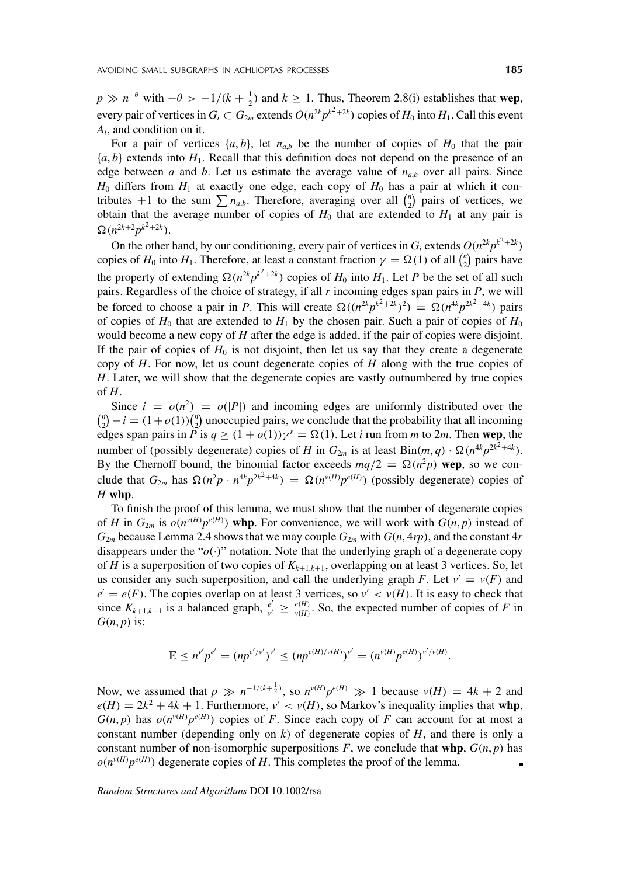*p*  $\gg$  *n*<sup>−*θ*</sup> with −*θ* > −1/(*k* +  $\frac{1}{2}$ ) and *k* ≥ 1. Thus, Theorem 2.8(i) establishes that **wep**, every pair of vertices in  $G_i \subset G_{2m}$  extends  $O(n^{2k} p^{k^2+2k})$  copies of  $H_0$  into  $H_1$ . Call this event *Ai*, and condition on it.

For a pair of vertices  $\{a, b\}$ , let  $n_{a,b}$  be the number of copies of  $H_0$  that the pair  $\{a, b\}$  extends into  $H_1$ . Recall that this definition does not depend on the presence of an edge between  $a$  and  $b$ . Let us estimate the average value of  $n_{a,b}$  over all pairs. Since  $H_0$  differs from  $H_1$  at exactly one edge, each copy of  $H_0$  has a pair at which it contributes +1 to the sum  $\sum n_{a,b}$ . Therefore, averaging over all  $\binom{n}{2}$  pairs of vertices, we obtain that the average number of copies of  $H_0$  that are extended to  $H_1$  at any pair is  $\Omega(n^{2k+2}p^{k^2+2k}).$ 

On the other hand, by our conditioning, every pair of vertices in  $G_i$  extends  $O(n^{2k} p^{k^2+2k})$ copies of *H*<sub>0</sub> into *H*<sub>1</sub>. Therefore, at least a constant fraction  $\gamma = \Omega(1)$  of all  $\binom{n}{2}$  pairs have the property of extending  $\Omega(n^{2k}p^{k^2+2k})$  copies of  $H_0$  into  $H_1$ . Let P be the set of all such pairs. Regardless of the choice of strategy, if all *r* incoming edges span pairs in *P*, we will be forced to choose a pair in *P*. This will create  $\Omega((n^{2k}p^{k^2+2k})^2) = \Omega(n^{4k}p^{2k^2+4k})$  pairs of copies of  $H_0$  that are extended to  $H_1$  by the chosen pair. Such a pair of copies of  $H_0$ would become a new copy of *H* after the edge is added, if the pair of copies were disjoint. If the pair of copies of  $H_0$  is not disjoint, then let us say that they create a degenerate copy of *H*. For now, let us count degenerate copies of *H* along with the true copies of *H*. Later, we will show that the degenerate copies are vastly outnumbered by true copies of *H*.

Since  $i = o(n^2) = o(|P|)$  and incoming edges are uniformly distributed over the  ${n \choose 2} - i = (1 + o(1)) {n \choose 2}$  unoccupied pairs, we conclude that the probability that all incoming edges span pairs in *P* is  $q \ge (1 + o(1))\gamma' = \Omega(1)$ . Let *i* run from *m* to 2*m*. Then **wep**, the number of (possibly degenerate) copies of *H* in  $G_{2m}$  is at least  $Bin(m, q) \cdot \Omega(n^{4k}p^{2k^2+4k})$ . By the Chernoff bound, the binomial factor exceeds  $mq/2 = \Omega(n^2p)$  wep, so we conclude that  $G_{2m}$  has  $\Omega(n^2p \cdot n^{4k}p^{2k^2+4k}) = \Omega(n^{\nu(H)}p^{e(H)})$  (possibly degenerate) copies of *H* **whp**.

To finish the proof of this lemma, we must show that the number of degenerate copies of H in  $G_{2m}$  is  $o(n^{v(H)}p^{e(H)})$  whp. For convenience, we will work with  $G(n, p)$  instead of  $G_{2m}$  because Lemma 2.4 shows that we may couple  $G_{2m}$  with  $G(n, 4rp)$ , and the constant  $4r$ disappears under the " $o(\cdot)$ " notation. Note that the underlying graph of a degenerate copy of *H* is a superposition of two copies of  $K_{k+1,k+1}$ , overlapping on at least 3 vertices. So, let us consider any such superposition, and call the underlying graph *F*. Let  $v' = v(F)$  and  $e' = e(F)$ . The copies overlap on at least 3 vertices, so  $v' < v(H)$ . It is easy to check that since  $K_{k+1,k+1}$  is a balanced graph,  $\frac{e'}{v'} \geq \frac{e(H)}{v(H)}$ . So, the expected number of copies of *F* in  $G(n, p)$  is:

$$
\mathbb{E} \le n^{\nu'} p^{e'} = (n p^{e'/\nu'})^{\nu'} \le (n p^{e(H)/\nu(H)})^{\nu'} = (n^{\nu(H)} p^{e(H)})^{\nu'/\nu(H)}.
$$

Now, we assumed that  $p \gg n^{-1/(k+\frac{1}{2})}$ , so  $n^{v(H)}p^{e(H)} \gg 1$  because  $v(H) = 4k + 2$  and  $e(H) = 2k^2 + 4k + 1$ . Furthermore,  $v' < v(H)$ , so Markov's inequality implies that whp,  $G(n, p)$  has  $o(n^{v(H)}p^{e(H)})$  copies of *F*. Since each copy of *F* can account for at most a constant number (depending only on  $k$ ) of degenerate copies of  $H$ , and there is only a constant number of non-isomorphic superpositions  $F$ , we conclude that **whp**,  $G(n, p)$  has  $o(n^{v(H)}p^{e(H)})$  degenerate copies of *H*. This completes the proof of the lemma.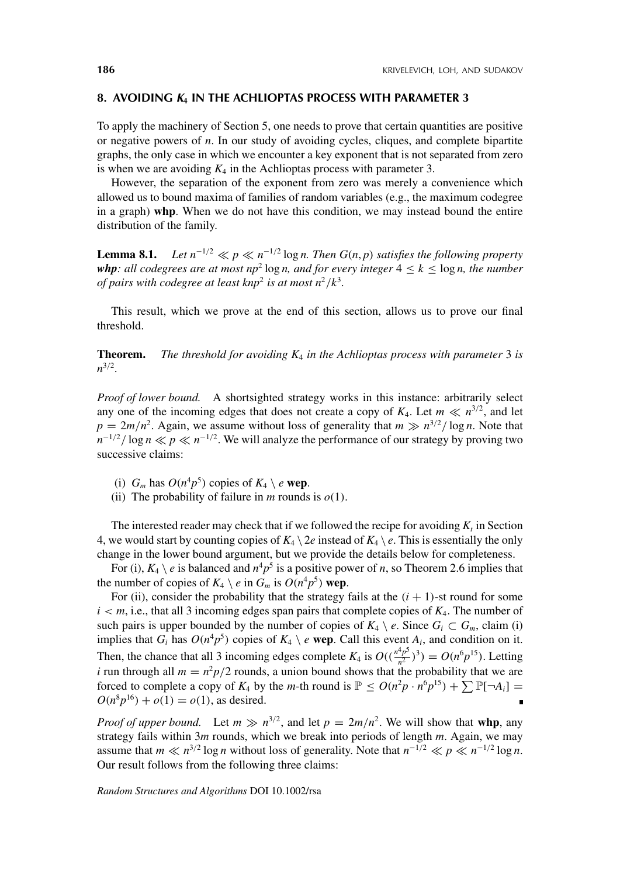### **8. AVOIDING** *K***<sup>4</sup> IN THE ACHLIOPTAS PROCESS WITH PARAMETER 3**

To apply the machinery of Section 5, one needs to prove that certain quantities are positive or negative powers of *n*. In our study of avoiding cycles, cliques, and complete bipartite graphs, the only case in which we encounter a key exponent that is not separated from zero is when we are avoiding  $K_4$  in the Achlioptas process with parameter 3.

However, the separation of the exponent from zero was merely a convenience which allowed us to bound maxima of families of random variables (e.g., the maximum codegree in a graph) **whp**. When we do not have this condition, we may instead bound the entire distribution of the family.

**Lemma 8.1.** *Let*  $n^{-1/2} \ll p \ll n^{-1/2} \log n$ . *Then*  $G(n, p)$  *satisfies the following property whp*: all codegrees are at most  $np^2 \log n$ , and for every integer  $4 \leq k \leq \log n$ , the number *of pairs with codegree at least knp<sup>2</sup> <i>is at most n*<sup>2</sup>/ $k^3$ .

This result, which we prove at the end of this section, allows us to prove our final threshold.

**Theorem.** *The threshold for avoiding*  $K_4$  *in the Achlioptas process with parameter* 3 *is*  $n^{3/2}$ .

*Proof of lower bound.* A shortsighted strategy works in this instance: arbitrarily select any one of the incoming edges that does not create a copy of  $K_4$ . Let  $m \ll n^{3/2}$ , and let  $p = 2m/n^2$ . Again, we assume without loss of generality that  $m \gg n^{3/2}/\log n$ . Note that  $n^{-1/2}/\log n \ll p \ll n^{-1/2}$ . We will analyze the performance of our strategy by proving two successive claims:

- (i)  $G_m$  has  $O(n^4p^5)$  copies of  $K_4 \setminus e$  wep.
- (ii) The probability of failure in *m* rounds is  $o(1)$ .

The interested reader may check that if we followed the recipe for avoiding  $K_t$  in Section 4, we would start by counting copies of  $K_4 \setminus 2e$  instead of  $K_4 \setminus e$ . This is essentially the only change in the lower bound argument, but we provide the details below for completeness.

For (i),  $K_4 \setminus e$  is balanced and  $n^4p^5$  is a positive power of *n*, so Theorem 2.6 implies that the number of copies of  $K_4 \setminus e$  in  $G_m$  is  $O(n^4p^5)$  wep.

For (ii), consider the probability that the strategy fails at the  $(i + 1)$ -st round for some  $i < m$ , i.e., that all 3 incoming edges span pairs that complete copies of  $K_4$ . The number of such pairs is upper bounded by the number of copies of  $K_4 \setminus e$ . Since  $G_i \subset G_m$ , claim (i) implies that  $G_i$  has  $O(n^4p^5)$  copies of  $K_4 \setminus e$  wep. Call this event  $A_i$ , and condition on it. Then, the chance that all 3 incoming edges complete  $K_4$  is  $O((\frac{n^4p^5}{n^2})^3) = O(n^6p^{15})$ . Letting *i* run through all  $m = n^2p/2$  rounds, a union bound shows that the probability that we are forced to complete a copy of  $K_4$  by the *m*-th round is  $\mathbb{P} \leq O(n^2p \cdot n^6p^{15}) + \sum \mathbb{P}[\neg A_i] =$  $O(n^8p^{16}) + o(1) = o(1)$ , as desired.

*Proof of upper bound.* Let  $m \gg n^{3/2}$ , and let  $p = 2m/n^2$ . We will show that whp, any strategy fails within 3*m* rounds, which we break into periods of length *m*. Again, we may assume that  $m \ll n^{3/2} \log n$  without loss of generality. Note that  $n^{-1/2} \ll p \ll n^{-1/2} \log n$ . Our result follows from the following three claims: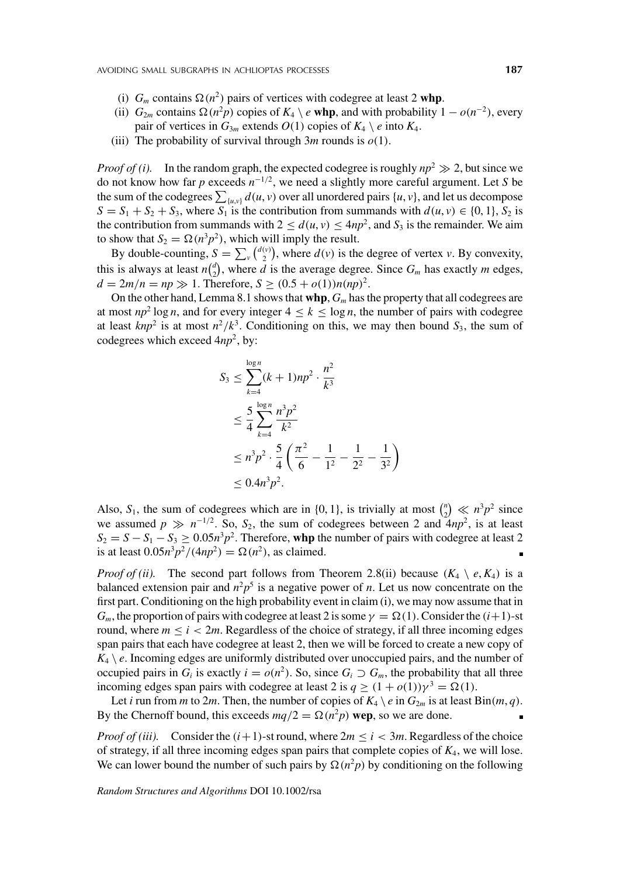- (i)  $G_m$  contains  $\Omega(n^2)$  pairs of vertices with codegree at least 2 whp.
- (ii)  $G_{2m}$  contains  $\Omega(n^2p)$  copies of  $K_4 \setminus e$  whp, and with probability  $1 o(n^{-2})$ , every pair of vertices in  $G_{3m}$  extends  $O(1)$  copies of  $K_4 \setminus e$  into  $K_4$ .
- (iii) The probability of survival through  $3m$  rounds is  $o(1)$ .

*Proof of (i).* In the random graph, the expected codegree is roughly  $np^2 \gg 2$ , but since we do not know how far *p* exceeds *n*<sup>−</sup>1*/*2, we need a slightly more careful argument. Let *S* be the sum of the codegrees  $\sum_{\{u,v\}} d(u,v)$  over all unordered pairs  $\{u,v\}$ , and let us decompose  $S = S_1 + S_2 + S_3$ , where  $S_1$  is the contribution from summands with  $d(u, v) \in \{0, 1\}$ ,  $S_2$  is the contribution from summands with  $2 \le d(u, v) \le 4np^2$ , and  $S_3$  is the remainder. We aim to show that  $S_2 = \Omega(n^3 p^2)$ , which will imply the result.

By double-counting,  $S = \sum_{v} {d(v) \choose 2}$ , where  $d(v)$  is the degree of vertex *v*. By convexity, this is always at least  $n\binom{d}{2}$ , where *d* is the average degree. Since  $G_m$  has exactly *m* edges,  $d = 2m/n = np \gg 1$ . Therefore,  $S \ge (0.5 + o(1))n(np)^2$ .

On the other hand, Lemma 8.1 shows that  $whp$ ,  $G_m$  has the property that all codegrees are at most  $np^2 \log n$ , and for every integer  $4 \le k \le \log n$ , the number of pairs with codegree at least  $knp^2$  is at most  $n^2/k^3$ . Conditioning on this, we may then bound  $S_3$ , the sum of codegrees which exceed 4*np*2, by:

$$
S_3 \le \sum_{k=4}^{\log n} (k+1)np^2 \cdot \frac{n^2}{k^3}
$$
  
\n
$$
\le \frac{5}{4} \sum_{k=4}^{\log n} \frac{n^3p^2}{k^2}
$$
  
\n
$$
\le n^3p^2 \cdot \frac{5}{4} \left( \frac{\pi^2}{6} - \frac{1}{1^2} - \frac{1}{2^2} - \frac{1}{3^2} \right)
$$
  
\n
$$
\le 0.4n^3p^2.
$$

Also,  $S_1$ , the sum of codegrees which are in {0, 1}, is trivially at most  ${n \choose 2} \ll n^3 p^2$  since we assumed  $p \gg n^{-1/2}$ . So,  $S_2$ , the sum of codegrees between 2 and  $4np^2$ , is at least  $S_2 = S - S_1 - S_3 \geq 0.05n^3p^2$ . Therefore, **whp** the number of pairs with codegree at least 2 is at least  $0.05n^3p^2/(4np^2) = \Omega(n^2)$ , as claimed.

*Proof of (ii).* The second part follows from Theorem 2.8(ii) because  $(K_4 \setminus e, K_4)$  is a balanced extension pair and  $n^2p^5$  is a negative power of *n*. Let us now concentrate on the first part. Conditioning on the high probability event in claim (i), we may now assume that in *G<sub>m</sub>*, the proportion of pairs with codegree at least 2 is some  $\gamma = \Omega(1)$ . Consider the  $(i+1)$ -st round, where  $m \le i < 2m$ . Regardless of the choice of strategy, if all three incoming edges span pairs that each have codegree at least 2, then we will be forced to create a new copy of  $K_4 \setminus e$ . Incoming edges are uniformly distributed over unoccupied pairs, and the number of occupied pairs in  $G_i$  is exactly  $i = o(n^2)$ . So, since  $G_i \supset G_m$ , the probability that all three incoming edges span pairs with codegree at least 2 is  $q \ge (1 + o(1))\gamma^3 = \Omega(1)$ .

Let *i* run from *m* to 2*m*. Then, the number of copies of  $K_4 \setminus e$  in  $G_{2m}$  is at least Bin(*m*, *q*). By the Chernoff bound, this exceeds  $mq/2 = \Omega(n^2p)$  wep, so we are done.

*Proof of (iii).* Consider the  $(i+1)$ -st round, where  $2m \le i < 3m$ . Regardless of the choice of strategy, if all three incoming edges span pairs that complete copies of *K*4, we will lose. We can lower bound the number of such pairs by  $\Omega(n^2p)$  by conditioning on the following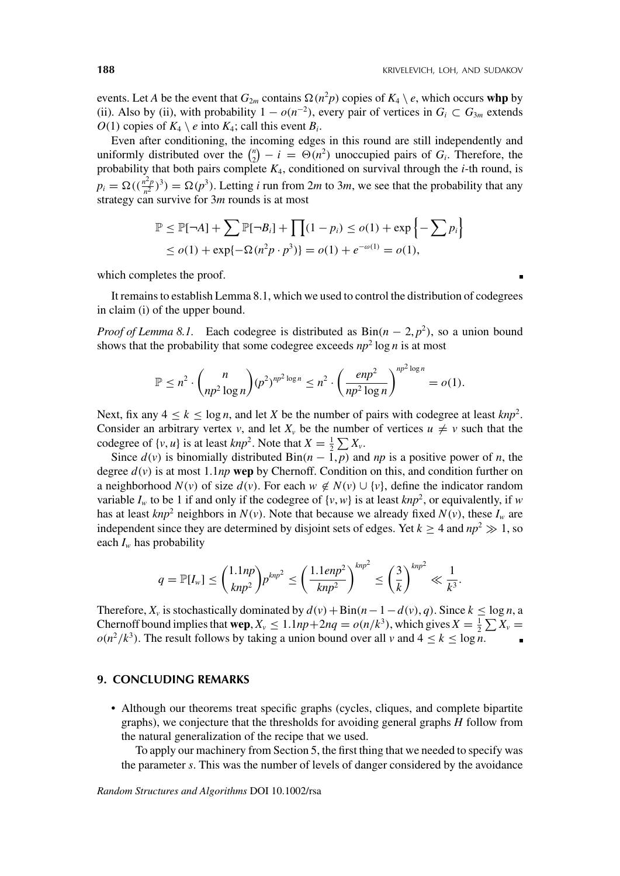events. Let *A* be the event that  $G_{2m}$  contains  $\Omega(n^2p)$  copies of  $K_4 \setminus e$ , which occurs whp by (ii). Also by (ii), with probability  $1 - o(n^{-2})$ , every pair of vertices in  $G_i \subset G_{3m}$  extends  $O(1)$  copies of  $K_4 \setminus e$  into  $K_4$ ; call this event  $B_i$ .

Even after conditioning, the incoming edges in this round are still independently and uniformly distributed over the  $\binom{n}{2} - i = \Theta(n^2)$  unoccupied pairs of  $G_i$ . Therefore, the probability that both pairs complete *K*4, conditioned on survival through the *i*-th round, is  $p_i = \Omega\left(\frac{n^2 p}{n^2}\right)^3$  =  $\Omega(p^3)$ . Letting *i* run from 2*m* to 3*m*, we see that the probability that any strategy can survive for 3*m* rounds is at most

$$
\mathbb{P} \le \mathbb{P}[\neg A] + \sum \mathbb{P}[\neg B_i] + \prod (1 - p_i) \le o(1) + \exp\{-\sum p_i\} \le o(1) + \exp\{-\Omega(n^2p \cdot p^3)\} = o(1) + e^{-\omega(1)} = o(1),
$$

which completes the proof.

It remains to establish Lemma 8.1, which we used to control the distribution of codegrees in claim (i) of the upper bound.

*Proof of Lemma 8.1.* Each codegree is distributed as  $Bin(n - 2, p^2)$ , so a union bound shows that the probability that some codegree exceeds  $np^2 \log n$  is at most

$$
\mathbb{P} \leq n^2 \cdot {n \choose np^2 \log n} (p^2)^{np^2 \log n} \leq n^2 \cdot \left(\frac{enp^2}{np^2 \log n}\right)^{np^2 \log n} = o(1).
$$

Next, fix any  $4 \le k \le \log n$ , and let *X* be the number of pairs with codegree at least  $knp^2$ . Consider an arbitrary vertex *v*, and let  $X_v$  be the number of vertices  $u \neq v$  such that the codegree of  $\{v, u\}$  is at least  $knp^2$ . Note that  $X = \frac{1}{2} \sum X_v$ .

Since  $d(v)$  is binomially distributed Bin $(n - 1, p)$  and  $np$  is a positive power of *n*, the degree  $d(v)$  is at most 1.1*np* wep by Chernoff. Condition on this, and condition further on a neighborhood  $N(v)$  of size  $d(v)$ . For each  $w \notin N(v) \cup \{v\}$ , define the indicator random variable  $I_w$  to be 1 if and only if the codegree of  $\{v, w\}$  is at least  $knp^2$ , or equivalently, if w has at least *knp*<sup>2</sup> neighbors in  $N(v)$ . Note that because we already fixed  $N(v)$ , these  $I_w$  are independent since they are determined by disjoint sets of edges. Yet  $k \ge 4$  and  $np^2 \gg 1$ , so each  $I_w$  has probability

$$
q = \mathbb{P}[I_w] \le \binom{1.1np}{knp^2} p^{knp^2} \le \left(\frac{1.1en p^2}{knp^2}\right)^{knp^2} \le \left(\frac{3}{k}\right)^{knp^2} \ll \frac{1}{k^3}.
$$

Therefore,  $X_v$  is stochastically dominated by  $d(v) + \text{Bin}(n-1-d(v), q)$ . Since  $k \le \log n$ , a Chernoff bound implies that **wep**,  $X_v \leq 1.1np + 2nq = o(n/k^3)$ , which gives  $X = \frac{1}{2} \sum X_v$  $o(n^2/k^3)$ . The result follows by taking a union bound over all *v* and  $4 \le k \le \log n$ .

## **9. CONCLUDING REMARKS**

• Although our theorems treat specific graphs (cycles, cliques, and complete bipartite graphs), we conjecture that the thresholds for avoiding general graphs *H* follow from the natural generalization of the recipe that we used.

To apply our machinery from Section 5, the first thing that we needed to specify was the parameter *s*. This was the number of levels of danger considered by the avoidance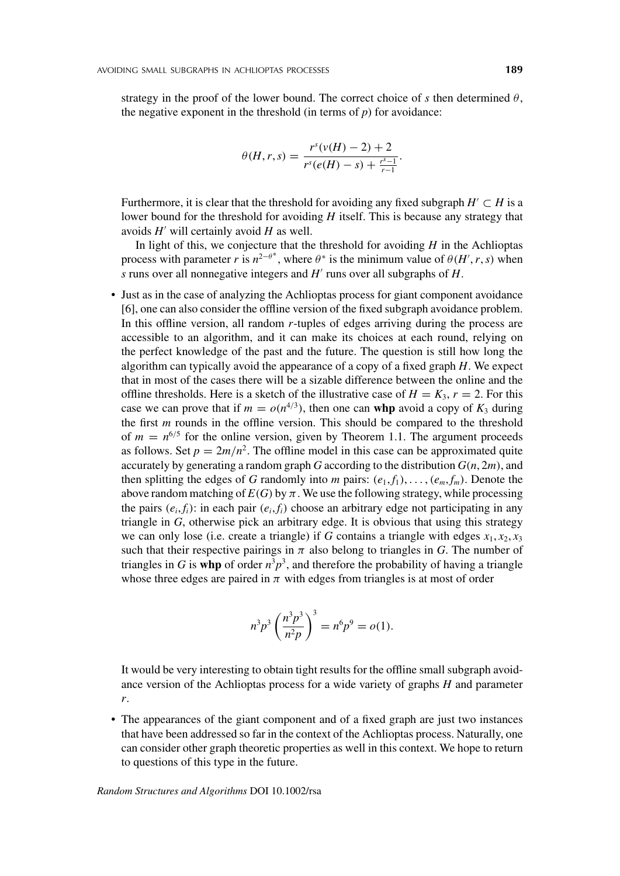strategy in the proof of the lower bound. The correct choice of *s* then determined  $\theta$ , the negative exponent in the threshold (in terms of  $p$ ) for avoidance:

$$
\theta(H,r,s) = \frac{r^{s}(v(H)-2)+2}{r^{s}(e(H)-s)+\frac{r^{s}-1}{r-1}}.
$$

Furthermore, it is clear that the threshold for avoiding any fixed subgraph  $H' \subset H$  is a lower bound for the threshold for avoiding *H* itself. This is because any strategy that avoids  $H'$  will certainly avoid  $H$  as well.

In light of this, we conjecture that the threshold for avoiding *H* in the Achlioptas process with parameter *r* is  $n^{2-\theta^*}$ , where  $\theta^*$  is the minimum value of  $\theta(H', r, s)$  when *s* runs over all nonnegative integers and *H* runs over all subgraphs of *H*.

• Just as in the case of analyzing the Achlioptas process for giant component avoidance [6], one can also consider the offline version of the fixed subgraph avoidance problem. In this offline version, all random *r*-tuples of edges arriving during the process are accessible to an algorithm, and it can make its choices at each round, relying on the perfect knowledge of the past and the future. The question is still how long the algorithm can typically avoid the appearance of a copy of a fixed graph *H*. We expect that in most of the cases there will be a sizable difference between the online and the offline thresholds. Here is a sketch of the illustrative case of  $H = K_3$ ,  $r = 2$ . For this case we can prove that if  $m = o(n^{4/3})$ , then one can whp avoid a copy of  $K_3$  during the first *m* rounds in the offline version. This should be compared to the threshold of  $m = n^{6/5}$  for the online version, given by Theorem 1.1. The argument proceeds as follows. Set  $p = 2m/n^2$ . The offline model in this case can be approximated quite accurately by generating a random graph *G* according to the distribution  $G(n, 2m)$ , and then splitting the edges of *G* randomly into *m* pairs:  $(e_1, f_1), \ldots, (e_m, f_m)$ . Denote the above random matching of  $E(G)$  by  $\pi$ . We use the following strategy, while processing the pairs  $(e_i, f_i)$ : in each pair  $(e_i, f_i)$  choose an arbitrary edge not participating in any triangle in *G*, otherwise pick an arbitrary edge. It is obvious that using this strategy we can only lose (i.e. create a triangle) if *G* contains a triangle with edges  $x_1, x_2, x_3$ such that their respective pairings in  $\pi$  also belong to triangles in *G*. The number of triangles in *G* is **whp** of order  $n^3p^3$ , and therefore the probability of having a triangle whose three edges are paired in  $\pi$  with edges from triangles is at most of order

$$
n^3 p^3 \left(\frac{n^3 p^3}{n^2 p}\right)^3 = n^6 p^9 = o(1).
$$

It would be very interesting to obtain tight results for the offline small subgraph avoidance version of the Achlioptas process for a wide variety of graphs *H* and parameter *r*.

• The appearances of the giant component and of a fixed graph are just two instances that have been addressed so far in the context of the Achlioptas process. Naturally, one can consider other graph theoretic properties as well in this context. We hope to return to questions of this type in the future.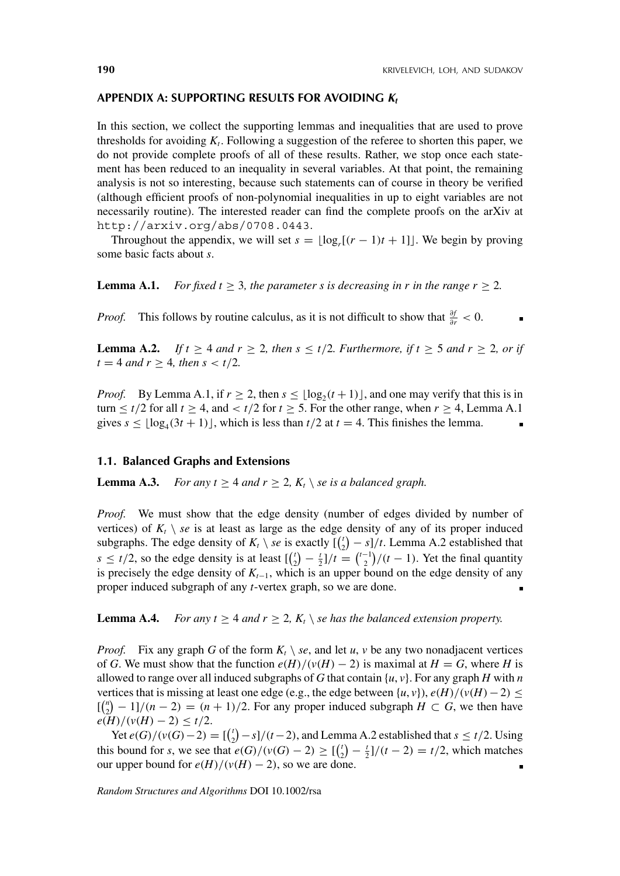#### APPENDIX A: SUPPORTING RESULTS FOR AVOIDING  $K_t$

In this section, we collect the supporting lemmas and inequalities that are used to prove thresholds for avoiding  $K_t$ . Following a suggestion of the referee to shorten this paper, we do not provide complete proofs of all of these results. Rather, we stop once each statement has been reduced to an inequality in several variables. At that point, the remaining analysis is not so interesting, because such statements can of course in theory be verified (although efficient proofs of non-polynomial inequalities in up to eight variables are not necessarily routine). The interested reader can find the complete proofs on the arXiv at http://arxiv.org/abs/0708.0443.

Throughout the appendix, we will set  $s = \lfloor \log_r[(r-1)t+1] \rfloor$ . We begin by proving some basic facts about *s*.

**Lemma A.1.** *For fixed t*  $\geq$  3*, the parameter s is decreasing in r in the range r*  $\geq$  2*.* 

*Proof.* This follows by routine calculus, as it is not difficult to show that  $\frac{\partial f}{\partial r}$  < 0.

**Lemma A.2.** *If t*  $\geq 4$  *and*  $r \geq 2$ *, then*  $s \leq t/2$ *. Furthermore, if*  $t \geq 5$  *and*  $r \geq 2$ *, or if*  $t = 4$  *and*  $r \geq 4$ *, then*  $s < t/2$ *.* 

*Proof.* By Lemma A.1, if  $r \geq 2$ , then  $s \leq \lfloor \log_2(t+1) \rfloor$ , and one may verify that this is in turn  $\leq t/2$  for all  $t \geq 4$ , and  $\lt t/2$  for  $t \geq 5$ . For the other range, when  $r \geq 4$ , Lemma A.1 gives  $s \leq \lfloor \log_4(3t+1) \rfloor$ , which is less than  $t/2$  at  $t = 4$ . This finishes the lemma.

## **1.1. Balanced Graphs and Extensions**

**Lemma A.3.** *For any t*  $\geq 4$  *and r*  $\geq 2$ ,  $K_t \setminus$  *se is a balanced graph.* 

*Proof.* We must show that the edge density (number of edges divided by number of vertices) of  $K_t \setminus se$  is at least as large as the edge density of any of its proper induced subgraphs. The edge density of  $K_t \setminus se$  is exactly  $\left[\binom{t}{2} - s\right] / t$ . Lemma A.2 established that  $s \le t/2$ , so the edge density is at least  $\left[\binom{t}{2} - \frac{t}{2}\right]/t = \binom{t-1}{2}/(t-1)$ . Yet the final quantity is precisely the edge density of  $K_{t-1}$ , which is an upper bound on the edge density of any proper induced subgraph of any *t*-vertex graph, so we are done.

**Lemma A.4.** *For any t*  $\geq 4$  *and r*  $\geq 2$ ,  $K_t \setminus$  *se has the balanced extension property.* 

*Proof.* Fix any graph *G* of the form  $K_t \setminus se$ , and let *u*, *v* be any two nonadjacent vertices of *G*. We must show that the function  $e(H)/(v(H) - 2)$  is maximal at  $H = G$ , where *H* is allowed to range over all induced subgraphs of *G* that contain  $\{u, v\}$ . For any graph *H* with *n* vertices that is missing at least one edge (e.g., the edge between  $\{u, v\}$ ),  $e(H)/(v(H)-2) \le$  $\binom{n}{2} - 1$ / $(n - 2) = (n + 1)/2$ . For any proper induced subgraph  $H \subset G$ , we then have  $e(H)/(v(H)-2) \le t/2$ .

 $\text{Yet } e(G)/(v(G)-2) = \left[\binom{t}{2} - s\right] / (t-2)$ , and Lemma A.2 established that *s* ≤ *t*/2. Using this bound for *s*, we see that  $e(G)/(v(G)-2) \ge \left[\binom{t}{2} - \frac{t}{2}\right]/(t-2) = t/2$ , which matches our upper bound for  $e(H)/(v(H)-2)$ , so we are done.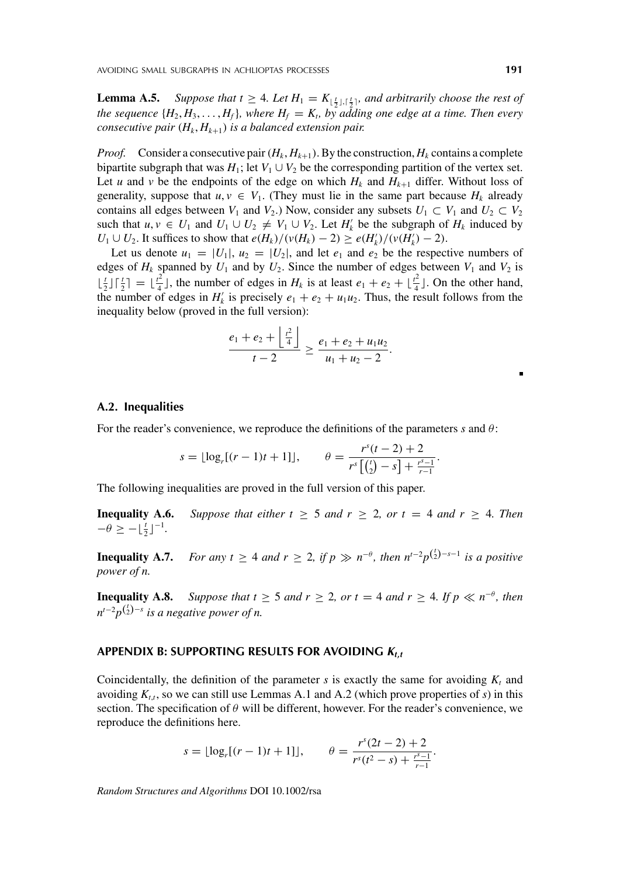**Lemma A.5.** *Suppose that t*  $\geq$  4*. Let*  $H_1 = K_{\lfloor \frac{t}{2} \rfloor, \lceil \frac{t}{2} \rceil}$ *, and arbitrarily choose the rest of the sequence*  $\{H_2, H_3, \ldots, H_f\}$ , where  $H_f = K_t$ , by adding one edge at a time. Then every *consecutive pair*  $(H_k, H_{k+1})$  *is a balanced extension pair.* 

*Proof.* Consider a consecutive pair  $(H_k, H_{k+1})$ . By the construction,  $H_k$  contains a complete bipartite subgraph that was  $H_1$ ; let  $V_1 \cup V_2$  be the corresponding partition of the vertex set. Let *u* and *v* be the endpoints of the edge on which  $H_k$  and  $H_{k+1}$  differ. Without loss of generality, suppose that  $u, v \in V_1$ . (They must lie in the same part because  $H_k$  already contains all edges between  $V_1$  and  $V_2$ .) Now, consider any subsets  $U_1 \subset V_1$  and  $U_2 \subset V_2$ such that  $u, v \in U_1$  and  $U_1 \cup U_2 \neq V_1 \cup V_2$ . Let  $H'_k$  be the subgraph of  $H_k$  induced by  $U_1 \cup U_2$ . It suffices to show that  $e(H_k)/(v(H_k) - 2) \ge e(H'_k)/(v(H'_k) - 2)$ .

Let us denote  $u_1 = |U_1|$ ,  $u_2 = |U_2|$ , and let  $e_1$  and  $e_2$  be the respective numbers of edges of  $H_k$  spanned by  $U_1$  and by  $U_2$ . Since the number of edges between  $V_1$  and  $V_2$  is  $\lfloor \frac{t}{2} \rfloor \lceil \frac{t}{2} \rceil = \lfloor \frac{t^2}{4} \rfloor$ , the number of edges in *H<sub>k</sub>* is at least  $e_1 + e_2 + \lfloor \frac{t^2}{4} \rfloor$ . On the other hand, the number of edges in  $H'_k$  is precisely  $e_1 + e_2 + u_1u_2$ . Thus, the result follows from the inequality below (proved in the full version):

$$
\frac{e_1+e_2+\left\lfloor\frac{t^2}{4}\right\rfloor}{t-2}\geq\frac{e_1+e_2+u_1u_2}{u_1+u_2-2}.
$$

#### **A.2. Inequalities**

For the reader's convenience, we reproduce the definitions of the parameters *s* and *θ*:

$$
s = \lfloor \log_r[(r-1)t+1] \rfloor, \qquad \theta = \frac{r^s(t-2)+2}{r^s\left[\binom{t}{2}-s\right]+\frac{r^s-1}{r-1}}.
$$

The following inequalities are proved in the full version of this paper.

**Inequality A.6.** *Suppose that either t*  $\geq$  5 *and r*  $\geq$  2*, or t* = 4 *and r*  $\geq$  4*. Then*  $-\theta \geq -\lfloor \frac{t}{2} \rfloor^{-1}.$ 

**Inequality A.7.** *For any t* ≥ 4 *and r* ≥ 2*, if p*  $\gg$  *n*<sup>−*θ*</sup>*, then n<sup>t−2</sup><i>p*<sup>(1)</sup><sup>−*s*−1</sup> *is a positive power of n.*

**Inequality A.8.** *Suppose that t*  $\geq 5$  *and r*  $\geq 2$ *, or t* = 4 *and r*  $\geq 4$ *. If p*  $\ll n^{-\theta}$ *, then*  $n^{t-2}p^{t-2}$  *is a negative power of n.* 

### APPENDIX B: SUPPORTING RESULTS FOR AVOIDING  $K_{t,t}$

Coincidentally, the definition of the parameter  $s$  is exactly the same for avoiding  $K_t$  and avoiding  $K_{t,t}$ , so we can still use Lemmas A.1 and A.2 (which prove properties of *s*) in this section. The specification of  $\theta$  will be different, however. For the reader's convenience, we reproduce the definitions here.

$$
s = \lfloor \log_r[(r-1)t+1] \rfloor, \qquad \theta = \frac{r^s(2t-2) + 2}{r^s(t^2 - s) + \frac{r^s - 1}{r-1}}.
$$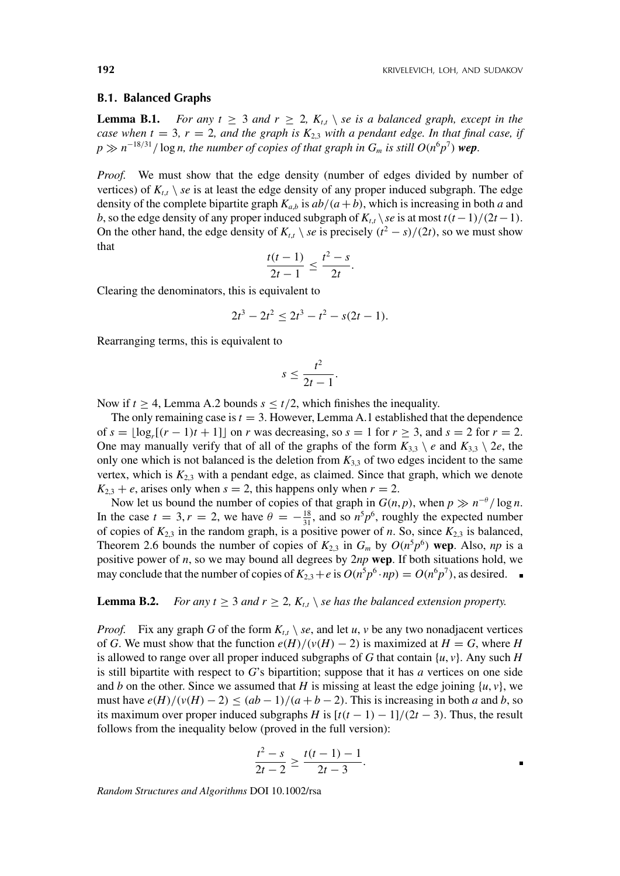# **B.1. Balanced Graphs**

**Lemma B.1.** *For any t*  $\geq 3$  *and r*  $\geq 2$ *, K<sub>t,t</sub></sup> \ se is a balanced graph, except in the case when t* = 3,  $r = 2$ , and the graph is  $K_{2,3}$  with a pendant edge. In that final case, if  $p \gg n^{-18/31}/\log n$ , the number of copies of that graph in  $G_m$  is still  $O(n^6p^7)$  wep.

*Proof.* We must show that the edge density (number of edges divided by number of vertices) of  $K_{t,t} \setminus se$  is at least the edge density of any proper induced subgraph. The edge density of the complete bipartite graph  $K_{a,b}$  is  $ab/(a+b)$ , which is increasing in both *a* and *b*, so the edge density of any proper induced subgraph of  $K_{t,t} \setminus se$  is at most  $t(t-1)/(2t-1)$ . On the other hand, the edge density of  $K_{t,t} \setminus se$  is precisely  $(t^2 - s)/(2t)$ , so we must show that

$$
\frac{t(t-1)}{2t-1} \le \frac{t^2-s}{2t}.
$$

Clearing the denominators, this is equivalent to

$$
2t^3 - 2t^2 \le 2t^3 - t^2 - s(2t - 1).
$$

Rearranging terms, this is equivalent to

$$
s \leq \frac{t^2}{2t-1}.
$$

Now if  $t \geq 4$ , Lemma A.2 bounds  $s \leq t/2$ , which finishes the inequality.

The only remaining case is  $t = 3$ . However, Lemma A.1 established that the dependence of  $s = |log_r[(r - 1)t + 1]|$  on *r* was decreasing, so  $s = 1$  for  $r \ge 3$ , and  $s = 2$  for  $r = 2$ . One may manually verify that of all of the graphs of the form  $K_{3,3} \setminus e$  and  $K_{3,3} \setminus 2e$ , the only one which is not balanced is the deletion from  $K_{33}$  of two edges incident to the same vertex, which is  $K_{2,3}$  with a pendant edge, as claimed. Since that graph, which we denote  $K_{2,3} + e$ , arises only when  $s = 2$ , this happens only when  $r = 2$ .

Now let us bound the number of copies of that graph in  $G(n, p)$ , when  $p \gg n^{-\theta}/\log n$ . In the case  $t = 3, r = 2$ , we have  $\theta = -\frac{18}{31}$ , and so  $n^5p^6$ , roughly the expected number of copies of  $K_{2,3}$  in the random graph, is a positive power of *n*. So, since  $K_{2,3}$  is balanced, Theorem 2.6 bounds the number of copies of  $K_{2,3}$  in  $G_m$  by  $O(n^5p^6)$  wep. Also, *np* is a positive power of *n*, so we may bound all degrees by 2*np* **wep**. If both situations hold, we may conclude that the number of copies of  $K_{2,3} + e$  is  $O(n^5p^6 \cdot np) = O(n^6p^7)$ , as desired.

# **Lemma B.2.** *For any*  $t \geq 3$  *and*  $r \geq 2$ *,*  $K_{t,t} \setminus se$  *has the balanced extension property.*

*Proof.* Fix any graph *G* of the form  $K_{t,t} \setminus se$ , and let *u*, *v* be any two nonadjacent vertices of *G*. We must show that the function  $e(H)/(v(H)-2)$  is maximized at  $H = G$ , where *H* is allowed to range over all proper induced subgraphs of *G* that contain  $\{u, v\}$ . Any such *H* is still bipartite with respect to *G*'s bipartition; suppose that it has *a* vertices on one side and *b* on the other. Since we assumed that *H* is missing at least the edge joining  $\{u, v\}$ , we must have  $e(H)/(v(H)-2) \leq (ab-1)/(a+b-2)$ . This is increasing in both *a* and *b*, so its maximum over proper induced subgraphs *H* is  $[t(t-1)-1]/(2t-3)$ . Thus, the result follows from the inequality below (proved in the full version):

$$
\frac{t^2 - s}{2t - 2} \ge \frac{t(t - 1) - 1}{2t - 3}.
$$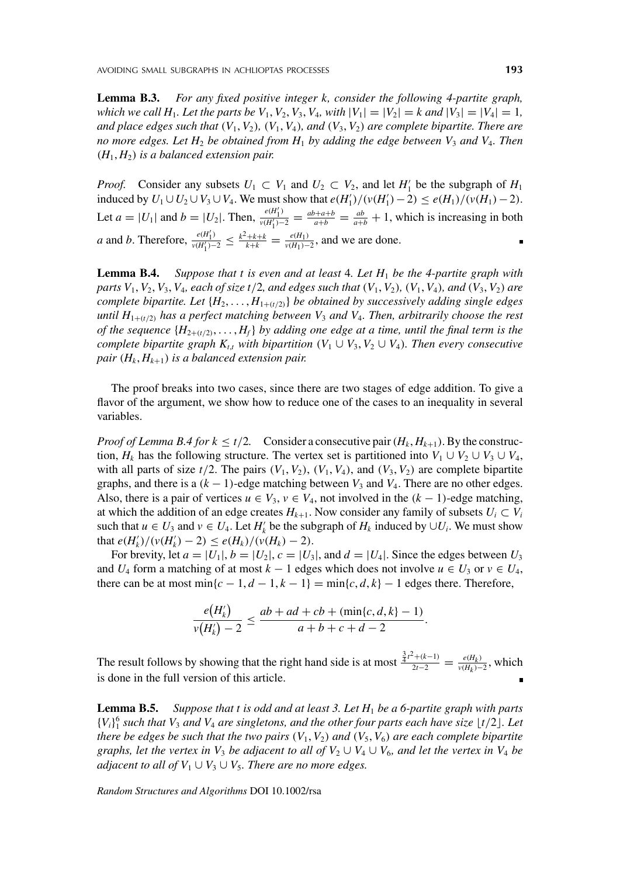**Lemma B.3.** *For any fixed positive integer k, consider the following 4-partite graph, which we call H*<sub>1</sub>*. Let the parts be*  $V_1, V_2, V_3, V_4$ *, with*  $|V_1| = |V_2| = k$  *and*  $|V_3| = |V_4| = 1$ *, and place edges such that*  $(V_1, V_2)$ ,  $(V_1, V_4)$ *, and*  $(V_3, V_2)$  *are complete bipartite. There are no more edges. Let H*<sup>2</sup> *be obtained from H*<sup>1</sup> *by adding the edge between V*<sup>3</sup> *and V*4*. Then*  $(H_1, H_2)$  *is a balanced extension pair.* 

*Proof.* Consider any subsets  $U_1 \subset V_1$  and  $U_2 \subset V_2$ , and let  $H'_1$  be the subgraph of  $H_1$ induced by  $U_1 \cup U_2 \cup V_3 \cup V_4$ . We must show that  $e(H'_1)/(v(H'_1) - 2) \le e(H_1)/(v(H_1) - 2)$ . Let  $a = |U_1|$  and  $b = |U_2|$ . Then,  $\frac{e(H'_1)}{v(H'_1)-2} = \frac{ab + a+b}{a+b} = \frac{ab}{a+b} + 1$ , which is increasing in both *a* and *b*. Therefore,  $\frac{e(H'_1)}{v(H'_1)-2} \le \frac{k^2+k+k}{k+k} = \frac{e(H_1)}{v(H_1)-2}$ , and we are done.

**Lemma B.4.** *Suppose that t is even and at least* 4*. Let H*<sup>1</sup> *be the 4-partite graph with* parts  $V_1, V_2, V_3, V_4$ , each of size t/2, and edges such that  $(V_1, V_2)$ ,  $(V_1, V_4)$ , and  $(V_3, V_2)$  are *complete bipartite. Let*  $\{H_2, \ldots, H_{1+(t/2)}\}$  *be obtained by successively adding single edges until*  $H_{1+(t/2)}$  *has a perfect matching between*  $V_3$  *and*  $V_4$ *. Then, arbitrarily choose the rest of the sequence*  $\{H_{2+(t/2)}, \ldots, H_f\}$  *by adding one edge at a time, until the final term is the complete bipartite graph*  $K_{t,t}$  *with bipartition*  $(V_1 \cup V_3, V_2 \cup V_4)$ *. Then every consecutive pair*  $(H_k, H_{k+1})$  *is a balanced extension pair.* 

The proof breaks into two cases, since there are two stages of edge addition. To give a flavor of the argument, we show how to reduce one of the cases to an inequality in several variables.

*Proof of Lemma B.4 for k*  $\leq t/2$ . Consider a consecutive pair  $(H_k, H_{k+1})$ . By the construction,  $H_k$  has the following structure. The vertex set is partitioned into  $V_1 \cup V_2 \cup V_3 \cup V_4$ , with all parts of size  $t/2$ . The pairs  $(V_1, V_2)$ ,  $(V_1, V_4)$ , and  $(V_3, V_2)$  are complete bipartite graphs, and there is a  $(k - 1)$ -edge matching between  $V_3$  and  $V_4$ . There are no other edges. Also, there is a pair of vertices  $u \in V_3$ ,  $v \in V_4$ , not involved in the  $(k - 1)$ -edge matching, at which the addition of an edge creates  $H_{k+1}$ . Now consider any family of subsets  $U_i \subset V_i$ such that  $u \in U_3$  and  $v \in U_4$ . Let  $H'_k$  be the subgraph of  $H_k$  induced by  $\cup U_i$ . We must show that  $e(H'_{k})/(v(H'_{k}) - 2) \le e(H_{k})/(v(H_{k}) - 2)$ .

For brevity, let  $a = |U_1|$ ,  $b = |U_2|$ ,  $c = |U_3|$ , and  $d = |U_4|$ . Since the edges between  $U_3$ and  $U_4$  form a matching of at most  $k - 1$  edges which does not involve  $u \in U_3$  or  $v \in U_4$ , there can be at most  $\min\{c-1, d-1, k-1\} = \min\{c, d, k\} - 1$  edges there. Therefore,

$$
\frac{e(H'_{k})}{v(H'_{k})-2} \leq \frac{ab+ad+cb+(\min\{c,d,k\}-1)}{a+b+c+d-2}.
$$

The result follows by showing that the right hand side is at most  $\frac{\frac{3}{4}t^2+(k-1)}{2t-2} = \frac{e(H_k)}{v(H_k)-2}$ , which is done in the full version of this article.

**Lemma B.5.** *Suppose that t is odd and at least 3. Let H*<sup>1</sup> *be a 6-partite graph with parts*  ${V_i}_1^6$  *such that*  $V_3$  *and*  $V_4$  *are singletons, and the other four parts each have size*  $\lfloor t/2 \rfloor$ *. Let there be edges be such that the two pairs*  $(V_1, V_2)$  *and*  $(V_5, V_6)$  *are each complete bipartite graphs, let the vertex in V<sub>3</sub> be adjacent to all of*  $V_2 \cup V_4 \cup V_6$ *, and let the vertex in V<sub>4</sub> be adjacent to all of*  $V_1 \cup V_3 \cup V_5$ *. There are no more edges.*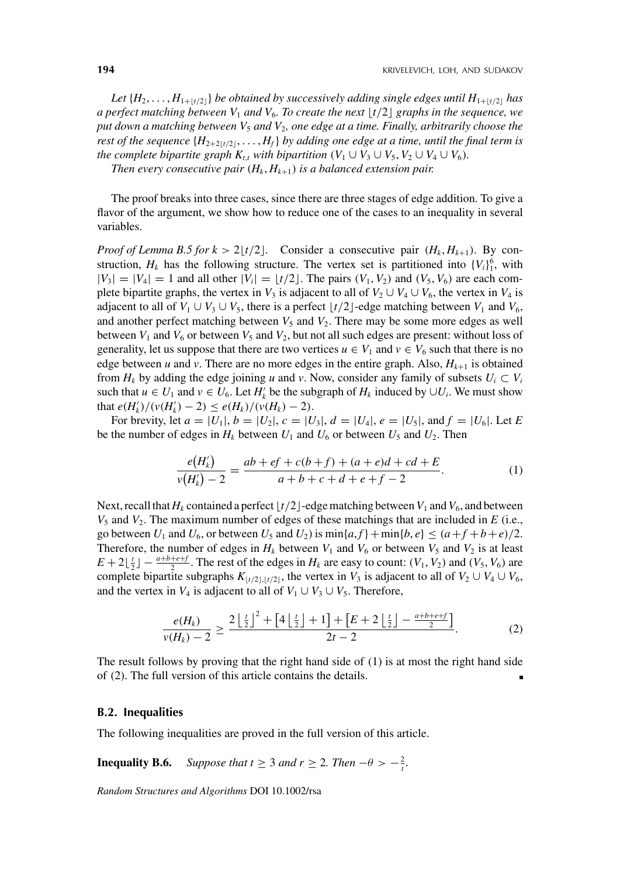*Let*  $\{H_2, \ldots, H_{1+|t/2|}\}$  *be obtained by successively adding single edges until*  $H_{1+|t/2|}$  *has a perfect matching between V*<sup>1</sup> *and V*6*. To create the next t/*2 *graphs in the sequence, we put down a matching between V*<sup>5</sup> *and V*2*, one edge at a time. Finally, arbitrarily choose the rest of the sequence*  $\{H_{2+2\{t/2\}}, \ldots, H_f\}$  *by adding one edge at a time, until the final term is the complete bipartite graph*  $K_{t,t}$  *with bipartition*  $(V_1 \cup V_3 \cup V_5, V_2 \cup V_4 \cup V_6)$ *.* 

*Then every consecutive pair*  $(H_k, H_{k+1})$  *is a balanced extension pair.* 

The proof breaks into three cases, since there are three stages of edge addition. To give a flavor of the argument, we show how to reduce one of the cases to an inequality in several variables.

*Proof of Lemma B.5 for k* > 2 $\lfloor t/2 \rfloor$ . Consider a consecutive pair  $(H_k, H_{k+1})$ . By construction,  $H_k$  has the following structure. The vertex set is partitioned into  $\{V_i\}_1^6$ , with  $|V_3| = |V_4| = 1$  and all other  $|V_i| = \lfloor t/2 \rfloor$ . The pairs  $(V_1, V_2)$  and  $(V_5, V_6)$  are each complete bipartite graphs, the vertex in  $V_3$  is adjacent to all of  $V_2 \cup V_4 \cup V_6$ , the vertex in  $V_4$  is adjacent to all of  $V_1 \cup V_3 \cup V_5$ , there is a perfect  $\lfloor t/2 \rfloor$ -edge matching between  $V_1$  and  $V_6$ , and another perfect matching between  $V_5$  and  $V_2$ . There may be some more edges as well between  $V_1$  and  $V_6$  or between  $V_5$  and  $V_2$ , but not all such edges are present: without loss of generality, let us suppose that there are two vertices  $u \in V_1$  and  $v \in V_6$  such that there is no edge between *u* and *v*. There are no more edges in the entire graph. Also,  $H_{k+1}$  is obtained from  $H_k$  by adding the edge joining *u* and *v*. Now, consider any family of subsets  $U_i \subset V_i$ such that  $u \in U_1$  and  $v \in U_6$ . Let  $H'_k$  be the subgraph of  $H_k$  induced by  $\cup U_i$ . We must show that  $e(H'_{k})/(v(H'_{k}) - 2) \le e(H_{k})/(v(H_{k}) - 2)$ .

For brevity, let  $a = |U_1|$ ,  $b = |U_2|$ ,  $c = |U_3|$ ,  $d = |U_4|$ ,  $e = |U_5|$ , and  $f = |U_6|$ . Let *E* be the number of edges in  $H_k$  between  $U_1$  and  $U_6$  or between  $U_5$  and  $U_2$ . Then

$$
\frac{e(H_k')}{v(H_k') - 2} = \frac{ab + ef + c(b+f) + (a+e)d + cd + E}{a+b+c+d+e+f-2}.
$$
 (1)

Next, recall that  $H_k$  contained a perfect  $\frac{|t/2|}{\text{edge matching}}$  between  $V_1$  and  $V_6$ , and between *V*<sup>5</sup> and *V*2. The maximum number of edges of these matchings that are included in *E* (i.e., go between  $U_1$  and  $U_6$ , or between  $U_5$  and  $U_2$ ) is  $\min\{a, f\} + \min\{b, e\} \leq (a+f+b+e)/2$ . Therefore, the number of edges in  $H_k$  between  $V_1$  and  $V_6$  or between  $V_5$  and  $V_2$  is at least  $E + 2\lfloor \frac{t}{2} \rfloor - \frac{a+b+e+f}{2}$ . The rest of the edges in  $H_k$  are easy to count:  $(V_1, V_2)$  and  $(V_5, V_6)$  are complete bipartite subgraphs  $K_{\lfloor t/2 \rfloor, \lfloor t/2 \rfloor}$ , the vertex in  $V_3$  is adjacent to all of  $V_2 \cup V_4 \cup V_6$ , and the vertex in  $V_4$  is adjacent to all of  $V_1 \cup V_3 \cup V_5$ . Therefore,

$$
\frac{e(H_k)}{v(H_k)-2} \ge \frac{2\left\lfloor \frac{t}{2} \right\rfloor^2 + \left[4\left\lfloor \frac{t}{2} \right\rfloor + 1\right] + \left[E+2\left\lfloor \frac{t}{2} \right\rfloor - \frac{a+b+e+f}{2} \right]}{2t-2}.
$$
 (2)

The result follows by proving that the right hand side of (1) is at most the right hand side of (2). The full version of this article contains the details.

#### **B.2. Inequalities**

The following inequalities are proved in the full version of this article.

**Inequality B.6.** *Suppose that t*  $\geq 3$  *and r*  $\geq 2$ *. Then*  $-\theta > -\frac{2}{t}$ *.*